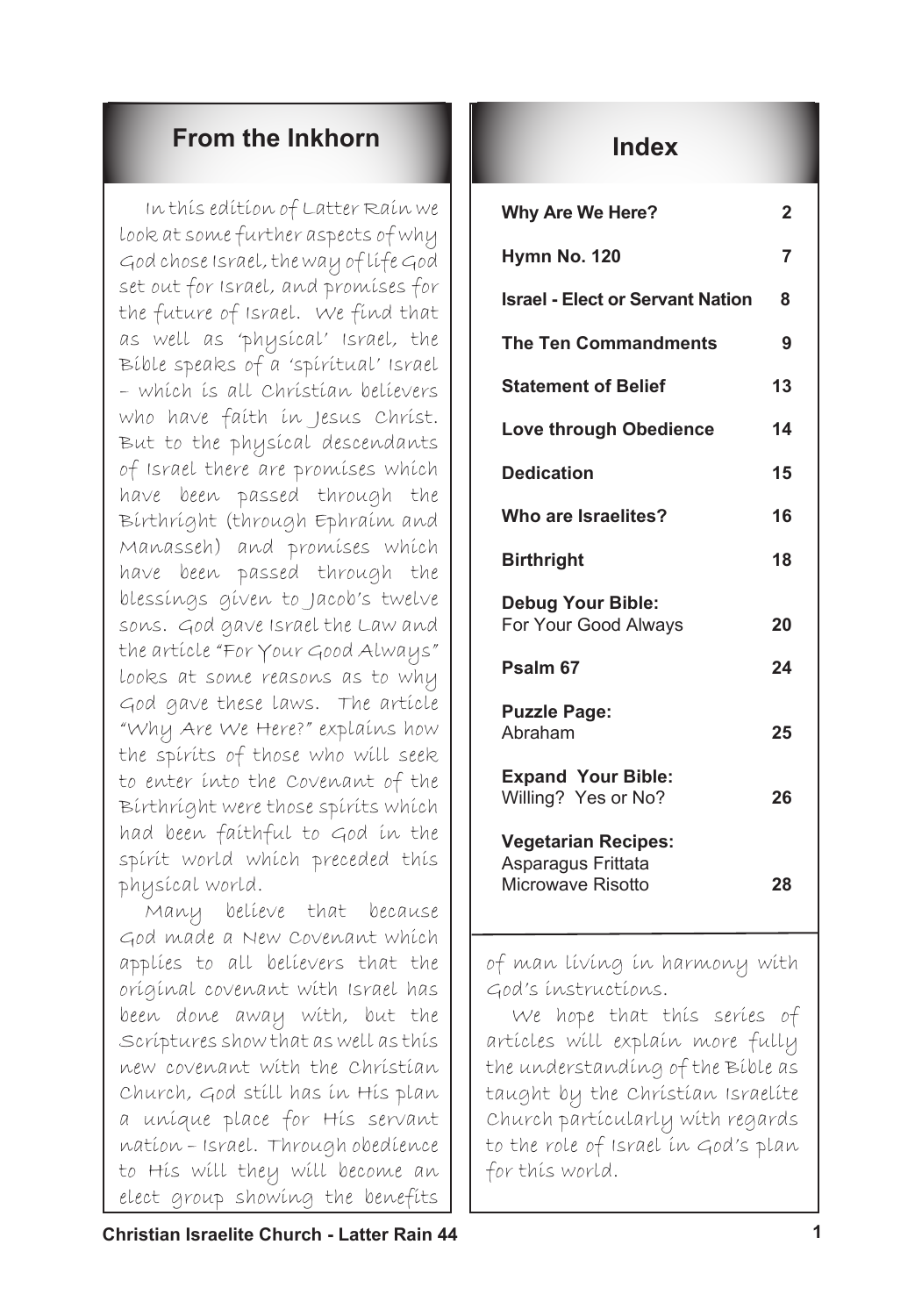## **From the Inkhorn Index**

In this edition of Latter Rain we look at some further aspects of why God chose Israel, the way of life God set out for Israel, and promises for the future of Israel. We find that as well as 'physical' Israel, the Bible speaks of a 'spiritual' Israel – which is all Christian believers who have faith in Jesus Christ. But to the physical descendants of Israel there are promises which have been passed through the Birthright (through Ephraim and Manasseh) and promises which have been passed through the blessings given to Jacob's twelve sons. God gave Israel the Law and the article "For Your Good Always" looks at some reasons as to why God gave these laws. The article "Why Are We Here?" explains how the spirits of those who will seek to enter into the Covenant of the Birthright were those spirits which had been faithful to God in the spirit world which preceded this physical world.

Many believe that because God made a New Covenant which applies to all believers that the original covenant with Israel has been done away with, but the Scriptures show that as well as this new covenant with the Christian Church, God still has in His plan a unique place for His servant nation – Israel. Through obedience to His will they will become an elect group showing the benefits

| <b>Why Are We Here?</b>                                               | 2  |
|-----------------------------------------------------------------------|----|
| Hymn No. 120                                                          | 7  |
| <b>Israel - Elect or Servant Nation</b>                               | 8  |
| <b>The Ten Commandments</b>                                           | 9  |
| <b>Statement of Belief</b>                                            | 13 |
| <b>Love through Obedience</b>                                         | 14 |
| <b>Dedication</b>                                                     | 15 |
| Who are Israelites?                                                   | 16 |
| <b>Birthright</b>                                                     | 18 |
| <b>Debug Your Bible:</b><br>For Your Good Always                      | 20 |
| Psalm <sub>67</sub>                                                   | 24 |
| <b>Puzzle Page:</b><br>Abraham                                        | 25 |
| <b>Expand Your Bible:</b><br>Willing? Yes or No?                      | 26 |
| <b>Vegetarian Recipes:</b><br>Asparagus Frittata<br>Microwave Risotto | 28 |

of man living in harmony with God's instructions.

We hope that this series of articles will explain more fully the understanding of the Bible as taught by the Christian Israelite Church particularly with regards to the role of Israel in God's plan for this world.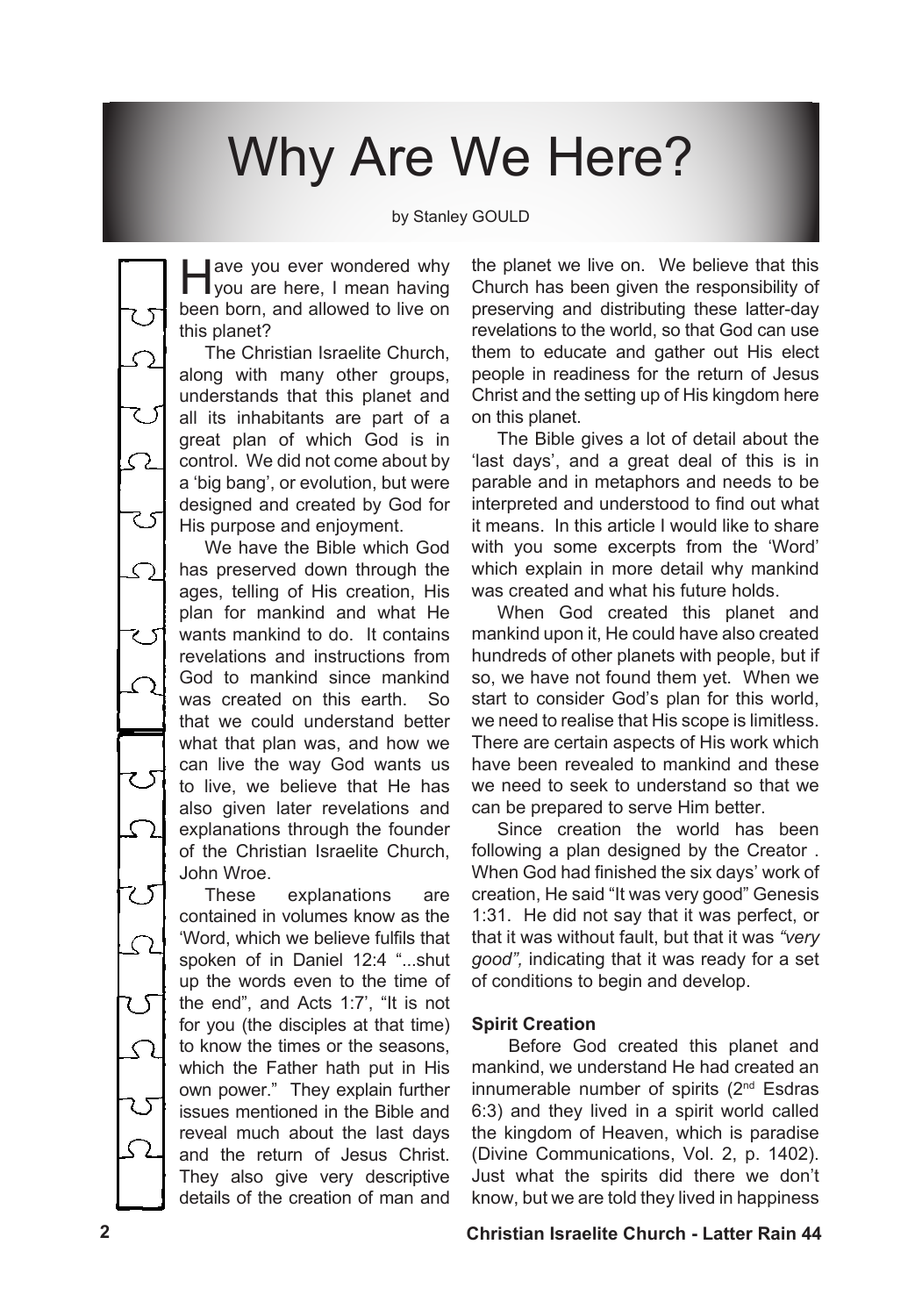# Why Are We Here?

by Stanley GOULD

ave you ever wondered why<br>you are here, I mean having been born, and allowed to live on this planet?

The Christian Israelite Church, along with many other groups, understands that this planet and all its inhabitants are part of a great plan of which God is in control. We did not come about by a 'big bang', or evolution, but were designed and created by God for His purpose and enjoyment.

 $\mathcal{L}_{\mathcal{L}}$ 

 $\zeta$ 

? ऽ

て

25

We have the Bible which God has preserved down through the ages, telling of His creation, His plan for mankind and what He wants mankind to do. It contains revelations and instructions from God to mankind since mankind was created on this earth. So that we could understand better what that plan was, and how we can live the way God wants us to live, we believe that He has also given later revelations and explanations through the founder of the Christian Israelite Church, John Wroe.

These explanations are contained in volumes know as the 'Word, which we believe fulfils that spoken of in Daniel 12:4 "...shut up the words even to the time of the end", and Acts 1:7', "It is not for you (the disciples at that time) to know the times or the seasons, which the Father hath put in His own power." They explain further issues mentioned in the Bible and reveal much about the last days and the return of Jesus Christ. They also give very descriptive details of the creation of man and the planet we live on. We believe that this Church has been given the responsibility of preserving and distributing these latter-day revelations to the world, so that God can use them to educate and gather out His elect people in readiness for the return of Jesus Christ and the setting up of His kingdom here on this planet.

The Bible gives a lot of detail about the 'last days', and a great deal of this is in parable and in metaphors and needs to be interpreted and understood to find out what it means. In this article I would like to share with you some excerpts from the 'Word' which explain in more detail why mankind was created and what his future holds.

When God created this planet and mankind upon it, He could have also created hundreds of other planets with people, but if so, we have not found them yet. When we start to consider God's plan for this world, we need to realise that His scope is limitless. There are certain aspects of His work which have been revealed to mankind and these we need to seek to understand so that we can be prepared to serve Him better.

Since creation the world has been following a plan designed by the Creator . When God had finished the six days' work of creation, He said "It was very good" Genesis 1:31. He did not say that it was perfect, or that it was without fault, but that it was *"very good",* indicating that it was ready for a set of conditions to begin and develop.

## **Spirit Creation**

Before God created this planet and mankind, we understand He had created an innumerable number of spirits (2nd Esdras 6:3) and they lived in a spirit world called the kingdom of Heaven, which is paradise (Divine Communications, Vol. 2, p. 1402). Just what the spirits did there we don't know, but we are told they lived in happiness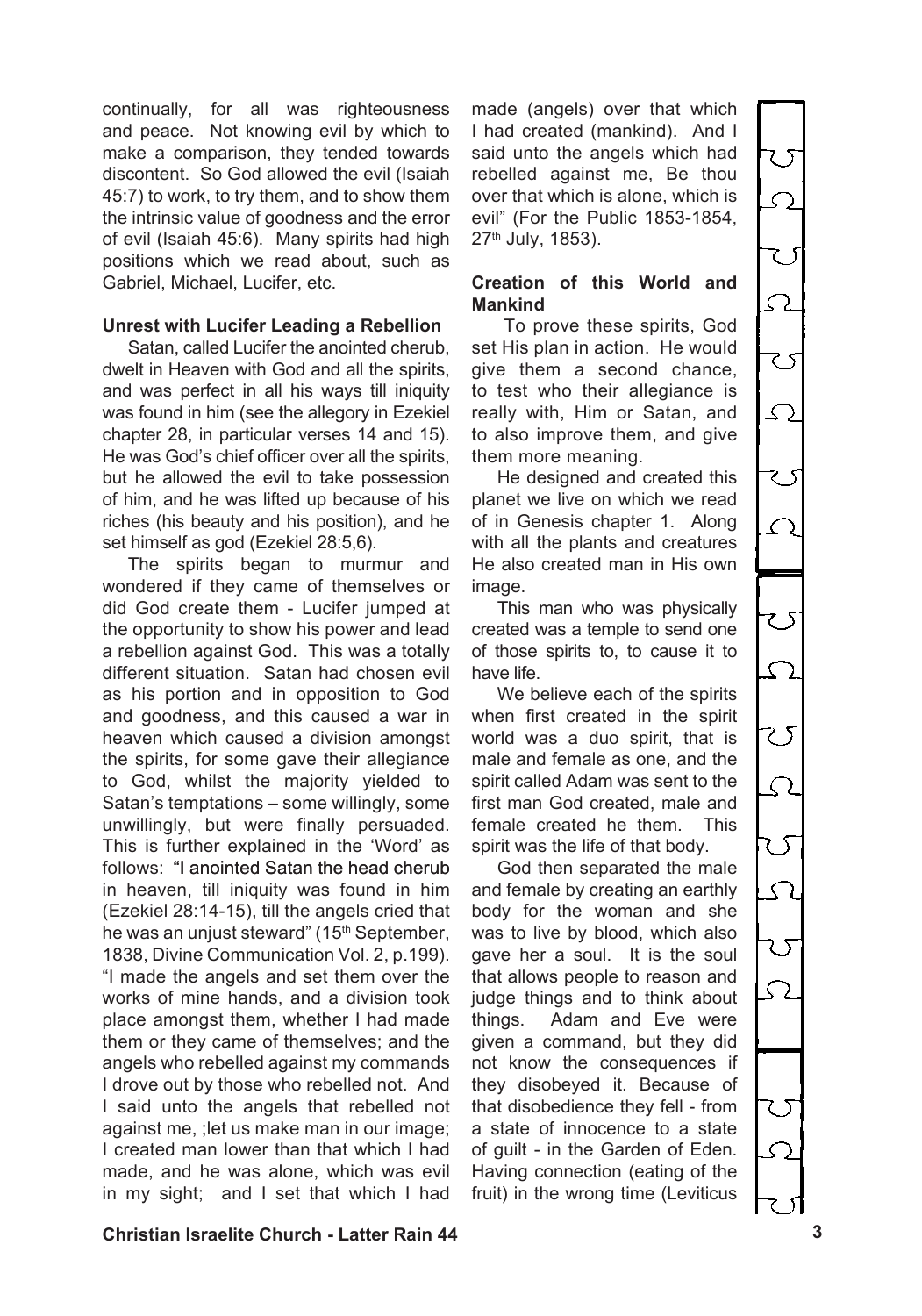continually, for all was righteousness and peace. Not knowing evil by which to make a comparison, they tended towards discontent. So God allowed the evil (Isaiah 45:7) to work, to try them, and to show them the intrinsic value of goodness and the error of evil (Isaiah 45:6). Many spirits had high positions which we read about, such as Gabriel, Michael, Lucifer, etc.

### **Unrest with Lucifer Leading a Rebellion**

Satan, called Lucifer the anointed cherub, dwelt in Heaven with God and all the spirits. and was perfect in all his ways till iniquity was found in him (see the allegory in Ezekiel chapter 28, in particular verses 14 and 15). He was God's chief officer over all the spirits, but he allowed the evil to take possession of him, and he was lifted up because of his riches (his beauty and his position), and he set himself as god (Ezekiel 28:5,6).

The spirits began to murmur and wondered if they came of themselves or did God create them - Lucifer jumped at the opportunity to show his power and lead a rebellion against God. This was a totally different situation. Satan had chosen evil as his portion and in opposition to God and goodness, and this caused a war in heaven which caused a division amongst the spirits, for some gave their allegiance to God, whilst the majority yielded to Satan's temptations – some willingly, some unwillingly, but were finally persuaded. This is further explained in the 'Word' as follows: "I anointed Satan the head cherub in heaven, till iniquity was found in him (Ezekiel 28:14-15), till the angels cried that he was an unjust steward" (15<sup>th</sup> September, 1838, Divine Communication Vol. 2, p.199). "I made the angels and set them over the works of mine hands, and a division took place amongst them, whether I had made them or they came of themselves; and the angels who rebelled against my commands I drove out by those who rebelled not. And I said unto the angels that rebelled not against me, ;let us make man in our image; I created man lower than that which I had made, and he was alone, which was evil in my sight; and I set that which I had

made (angels) over that which I had created (mankind). And I said unto the angels which had rebelled against me, Be thou over that which is alone, which is evil" (For the Public 1853-1854, 27th July, 1853).

### **Creation of this World and Mankind**

To prove these spirits, God set His plan in action. He would give them a second chance, to test who their allegiance is really with, Him or Satan, and to also improve them, and give them more meaning.

He designed and created this planet we live on which we read of in Genesis chapter 1. Along with all the plants and creatures He also created man in His own image.

This man who was physically created was a temple to send one of those spirits to, to cause it to have life.

We believe each of the spirits when first created in the spirit world was a duo spirit, that is male and female as one, and the spirit called Adam was sent to the first man God created, male and female created he them. This spirit was the life of that body.

God then separated the male and female by creating an earthly body for the woman and she was to live by blood, which also gave her a soul. It is the soul that allows people to reason and judge things and to think about things. Adam and Eve were given a command, but they did not know the consequences if they disobeyed it. Because of that disobedience they fell - from a state of innocence to a state of guilt - in the Garden of Eden. Having connection (eating of the fruit) in the wrong time (Leviticus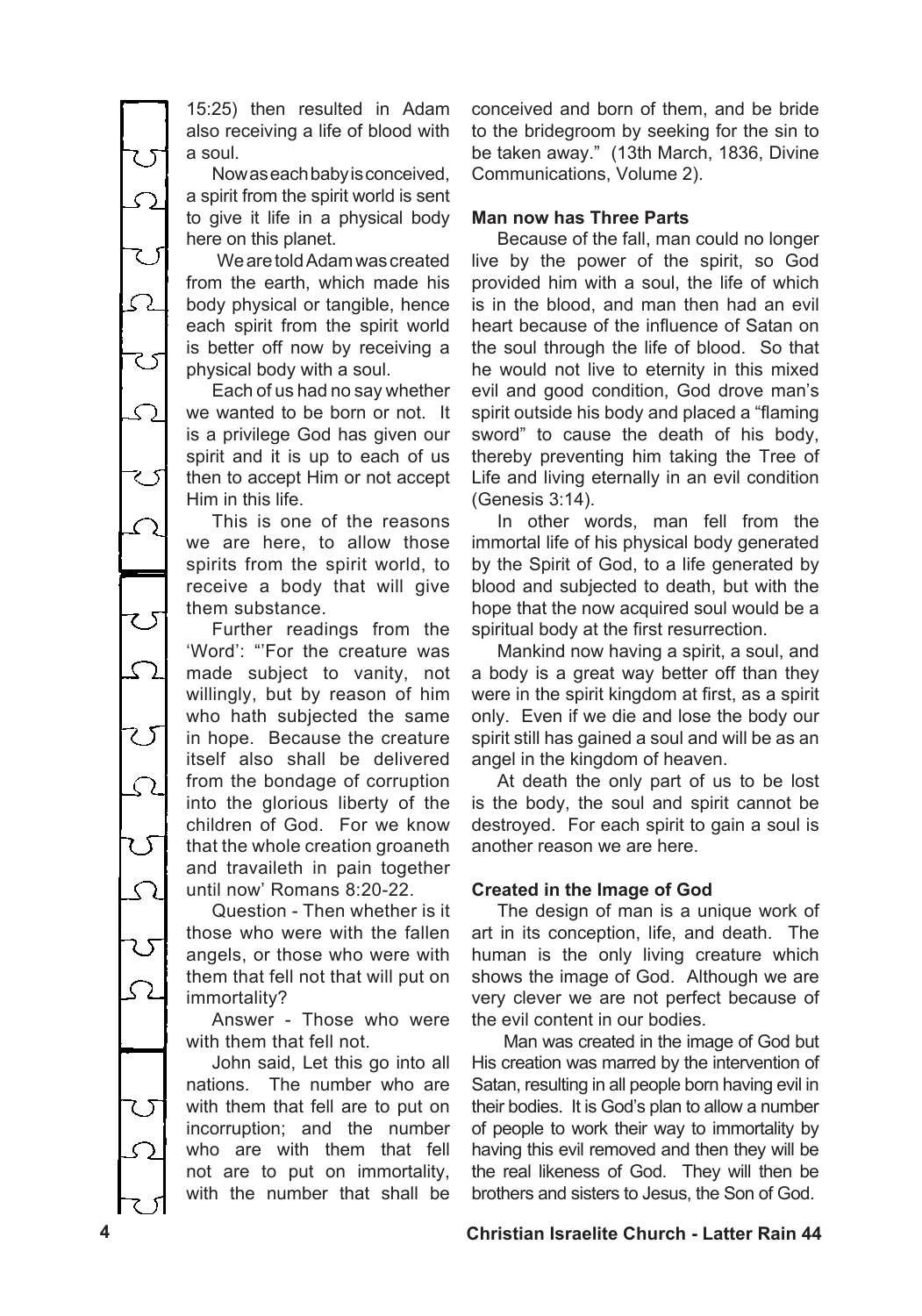15:25) then resulted in Adam also receiving a life of blood with a soul.

Nowaseachbabyisconceived, a spirit from the spirit world is sent to give it life in a physical body here on this planet.

WearetoldAdamwascreated from the earth, which made his body physical or tangible, hence each spirit from the spirit world is better off now by receiving a physical body with a soul.

Each of us had no say whether we wanted to be born or not. It is a privilege God has given our spirit and it is up to each of us then to accept Him or not accept Him in this life.

This is one of the reasons we are here, to allow those spirits from the spirit world, to receive a body that will give them substance.

Further readings from the 'Word': "'For the creature was made subject to vanity, not willingly, but by reason of him who hath subjected the same in hope. Because the creature itself also shall be delivered from the bondage of corruption into the glorious liberty of the children of God. For we know that the whole creation groaneth and travaileth in pain together until now' Romans 8:20-22.

Question - Then whether is it those who were with the fallen angels, or those who were with them that fell not that will put on immortality?

Answer - Those who were with them that fell not.

John said, Let this go into all nations. The number who are with them that fell are to put on incorruption; and the number who are with them that fell not are to put on immortality, with the number that shall be conceived and born of them, and be bride to the bridegroom by seeking for the sin to be taken away." (13th March, 1836, Divine Communications, Volume 2).

## **Man now has Three Parts**

Because of the fall, man could no longer live by the power of the spirit, so God provided him with a soul, the life of which is in the blood, and man then had an evil heart because of the influence of Satan on the soul through the life of blood. So that he would not live to eternity in this mixed evil and good condition, God drove man's spirit outside his body and placed a "flaming sword" to cause the death of his body, thereby preventing him taking the Tree of Life and living eternally in an evil condition (Genesis 3:14).

In other words, man fell from the immortal life of his physical body generated by the Spirit of God, to a life generated by blood and subjected to death, but with the hope that the now acquired soul would be a spiritual body at the first resurrection.

Mankind now having a spirit, a soul, and a body is a great way better off than they were in the spirit kingdom at first, as a spirit only. Even if we die and lose the body our spirit still has gained a soul and will be as an angel in the kingdom of heaven.

At death the only part of us to be lost is the body, the soul and spirit cannot be destroyed. For each spirit to gain a soul is another reason we are here.

## **Created in the Image of God**

The design of man is a unique work of art in its conception, life, and death. The human is the only living creature which shows the image of God. Although we are very clever we are not perfect because of the evil content in our bodies.

Man was created in the image of God but His creation was marred by the intervention of Satan, resulting in all people born having evil in their bodies. It is God's plan to allow a number of people to work their way to immortality by having this evil removed and then they will be the real likeness of God. They will then be brothers and sisters to Jesus, the Son of God.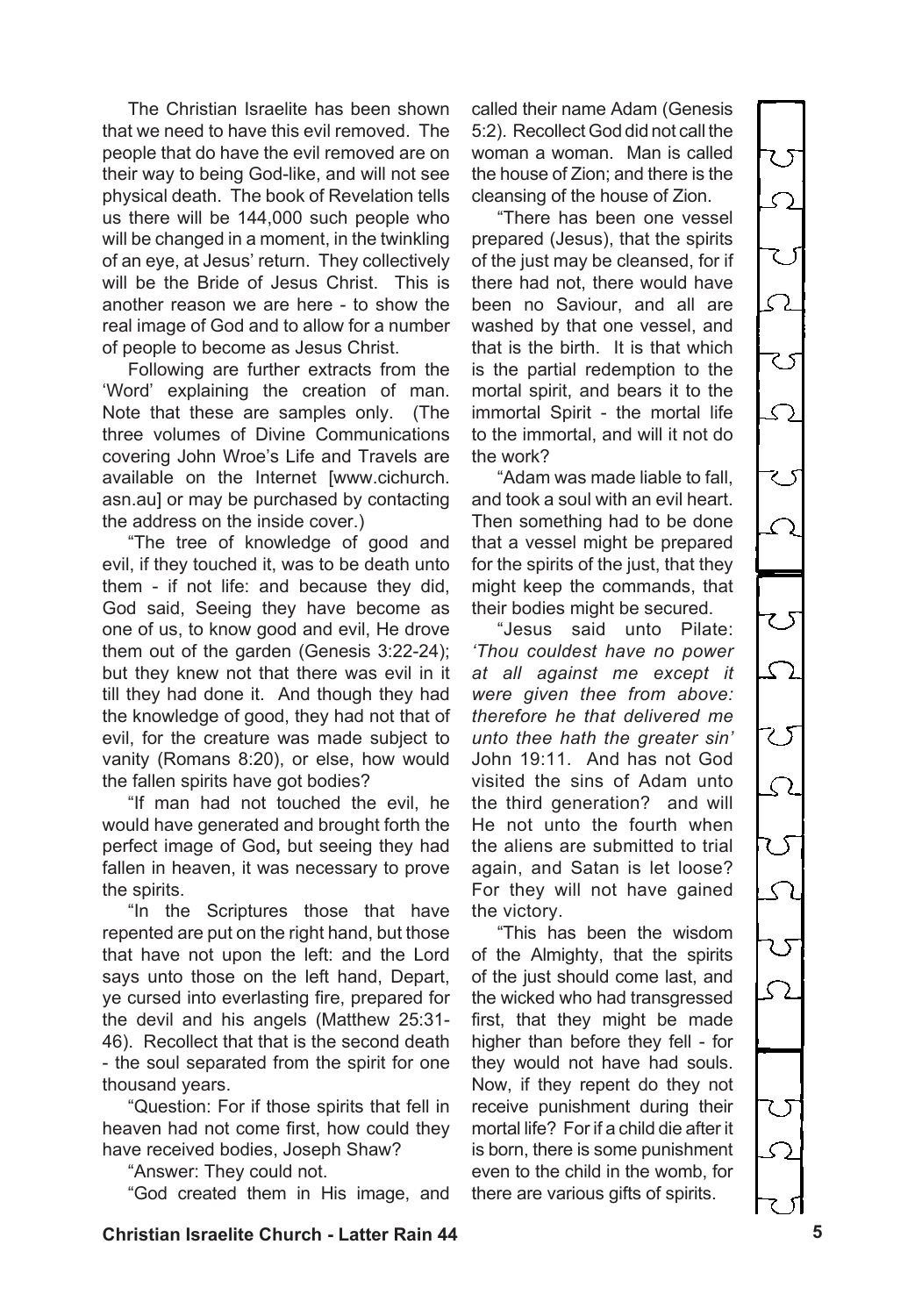The Christian Israelite has been shown that we need to have this evil removed. The people that do have the evil removed are on their way to being God-like, and will not see physical death. The book of Revelation tells us there will be 144,000 such people who will be changed in a moment, in the twinkling of an eye, at Jesus' return. They collectively will be the Bride of Jesus Christ. This is another reason we are here - to show the real image of God and to allow for a number of people to become as Jesus Christ.

Following are further extracts from the 'Word' explaining the creation of man. Note that these are samples only. (The three volumes of Divine Communications covering John Wroe's Life and Travels are available on the Internet [www.cichurch. asn.au] or may be purchased by contacting the address on the inside cover.)

"The tree of knowledge of good and evil, if they touched it, was to be death unto them - if not life: and because they did, God said, Seeing they have become as one of us, to know good and evil, He drove them out of the garden (Genesis 3:22-24); but they knew not that there was evil in it till they had done it. And though they had the knowledge of good, they had not that of evil, for the creature was made subject to vanity (Romans 8:20), or else, how would the fallen spirits have got bodies?

"If man had not touched the evil, he would have generated and brought forth the perfect image of God**,** but seeing they had fallen in heaven, it was necessary to prove the spirits.

"In the Scriptures those that have repented are put on the right hand, but those that have not upon the left: and the Lord says unto those on the left hand, Depart, ye cursed into everlasting fire, prepared for the devil and his angels (Matthew 25:31- 46). Recollect that that is the second death - the soul separated from the spirit for one thousand years.

"Question: For if those spirits that fell in heaven had not come first, how could they have received bodies, Joseph Shaw?

"Answer: They could not.

"God created them in His image, and

called their name Adam (Genesis 5:2). Recollect God did not call the woman a woman. Man is called the house of Zion; and there is the cleansing of the house of Zion.

"There has been one vessel prepared (Jesus), that the spirits of the just may be cleansed, for if there had not, there would have been no Saviour, and all are washed by that one vessel, and that is the birth. It is that which is the partial redemption to the mortal spirit, and bears it to the immortal Spirit - the mortal life to the immortal, and will it not do the work?

"Adam was made liable to fall, and took a soul with an evil heart. Then something had to be done that a vessel might be prepared for the spirits of the just, that they might keep the commands, that their bodies might be secured.

"Jesus said unto Pilate: *'Thou couldest have no power at all against me except it were given thee from above: therefore he that delivered me unto thee hath the greater sin'*  John 19:11. And has not God visited the sins of Adam unto the third generation? and will He not unto the fourth when the aliens are submitted to trial again, and Satan is let loose? For they will not have gained the victory.

"This has been the wisdom of the Almighty, that the spirits of the just should come last, and the wicked who had transgressed first, that they might be made higher than before they fell - for they would not have had souls. Now, if they repent do they not receive punishment during their mortal life? For if a child die after it is born, there is some punishment even to the child in the womb, for there are various gifts of spirits.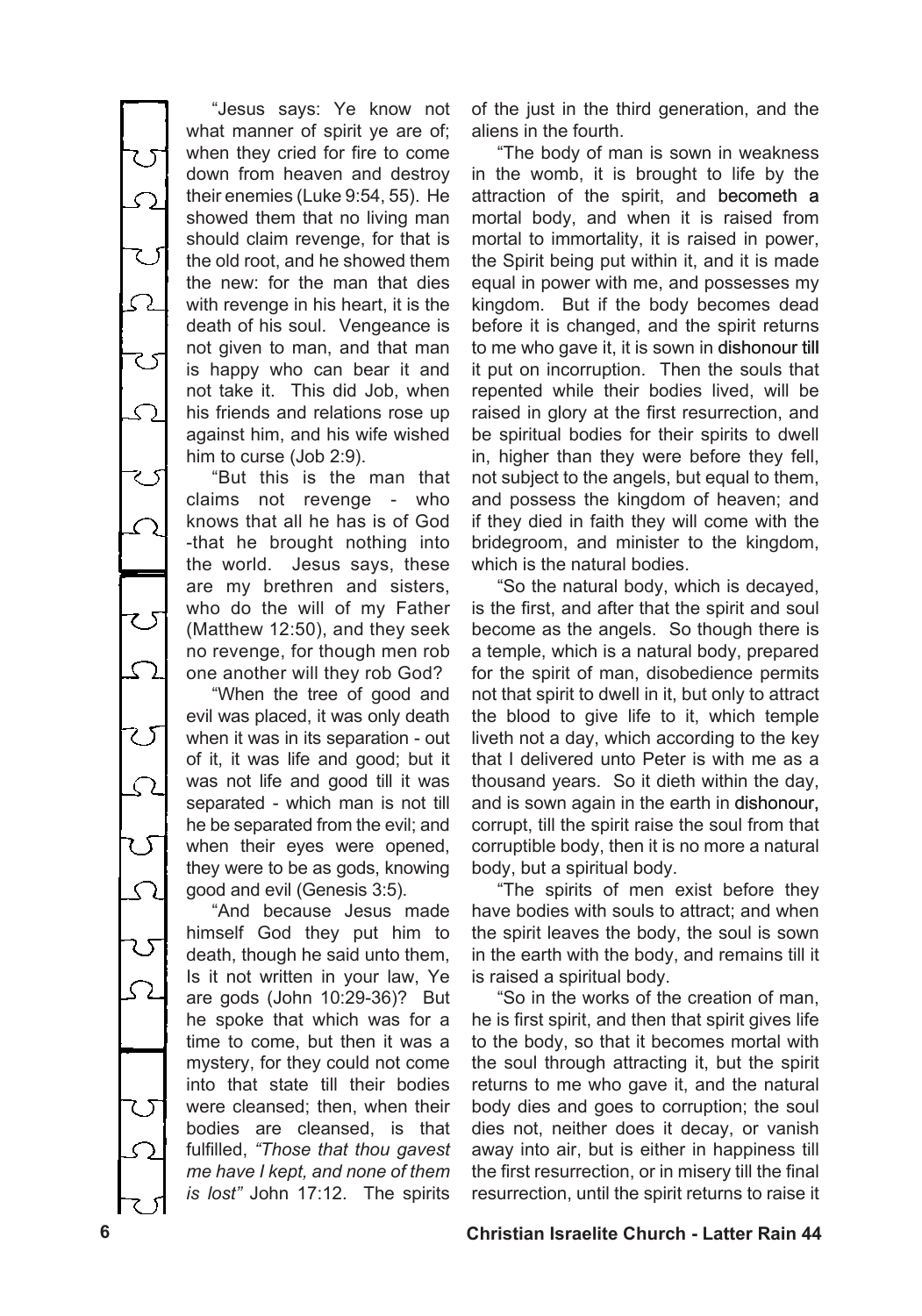S ی ح Ω ے ぴ  $\overline{\mathcal{L}}$ 

"Jesus says: Ye know not what manner of spirit ye are of: when they cried for fire to come down from heaven and destroy their enemies (Luke 9:54, 55). He showed them that no living man should claim revenge, for that is the old root, and he showed them the new: for the man that dies with revenge in his heart, it is the death of his soul. Vengeance is not given to man, and that man is happy who can bear it and not take it. This did Job, when his friends and relations rose up against him, and his wife wished him to curse (Job 2:9).

"But this is the man that claims not revenge - who knows that all he has is of God -that he brought nothing into the world. Jesus says, these are my brethren and sisters, who do the will of my Father (Matthew 12:50), and they seek no revenge, for though men rob one another will they rob God?

"When the tree of good and evil was placed, it was only death when it was in its separation - out of it, it was life and good; but it was not life and good till it was separated - which man is not till he be separated from the evil; and when their eyes were opened, they were to be as gods, knowing good and evil (Genesis 3:5).

"And because Jesus made himself God they put him to death, though he said unto them, Is it not written in your law, Ye are gods (John 10:29-36)? But he spoke that which was for a time to come, but then it was a mystery, for they could not come into that state till their bodies were cleansed; then, when their bodies are cleansed, is that fulfilled, *"Those that thou gavest me have I kept, and none of them is lost"* John 17:12. The spirits

of the just in the third generation, and the aliens in the fourth.

"The body of man is sown in weakness in the womb, it is brought to life by the attraction of the spirit, and becometh a mortal body, and when it is raised from mortal to immortality, it is raised in power, the Spirit being put within it, and it is made equal in power with me, and possesses my kingdom. But if the body becomes dead before it is changed, and the spirit returns to me who gave it, it is sown in dishonour till it put on incorruption. Then the souls that repented while their bodies lived, will be raised in glory at the first resurrection, and be spiritual bodies for their spirits to dwell in, higher than they were before they fell, not subject to the angels, but equal to them, and possess the kingdom of heaven; and if they died in faith they will come with the bridegroom, and minister to the kingdom, which is the natural bodies.

"So the natural body, which is decayed, is the first, and after that the spirit and soul become as the angels. So though there is a temple, which is a natural body, prepared for the spirit of man, disobedience permits not that spirit to dwell in it, but only to attract the blood to give life to it, which temple liveth not a day, which according to the key that I delivered unto Peter is with me as a thousand years. So it dieth within the day, and is sown again in the earth in dishonour, corrupt, till the spirit raise the soul from that corruptible body, then it is no more a natural body, but a spiritual body.

"The spirits of men exist before they have bodies with souls to attract; and when the spirit leaves the body, the soul is sown in the earth with the body, and remains till it is raised a spiritual body.

"So in the works of the creation of man, he is first spirit, and then that spirit gives life to the body, so that it becomes mortal with the soul through attracting it, but the spirit returns to me who gave it, and the natural body dies and goes to corruption; the soul dies not, neither does it decay, or vanish away into air, but is either in happiness till the first resurrection, or in misery till the final resurrection, until the spirit returns to raise it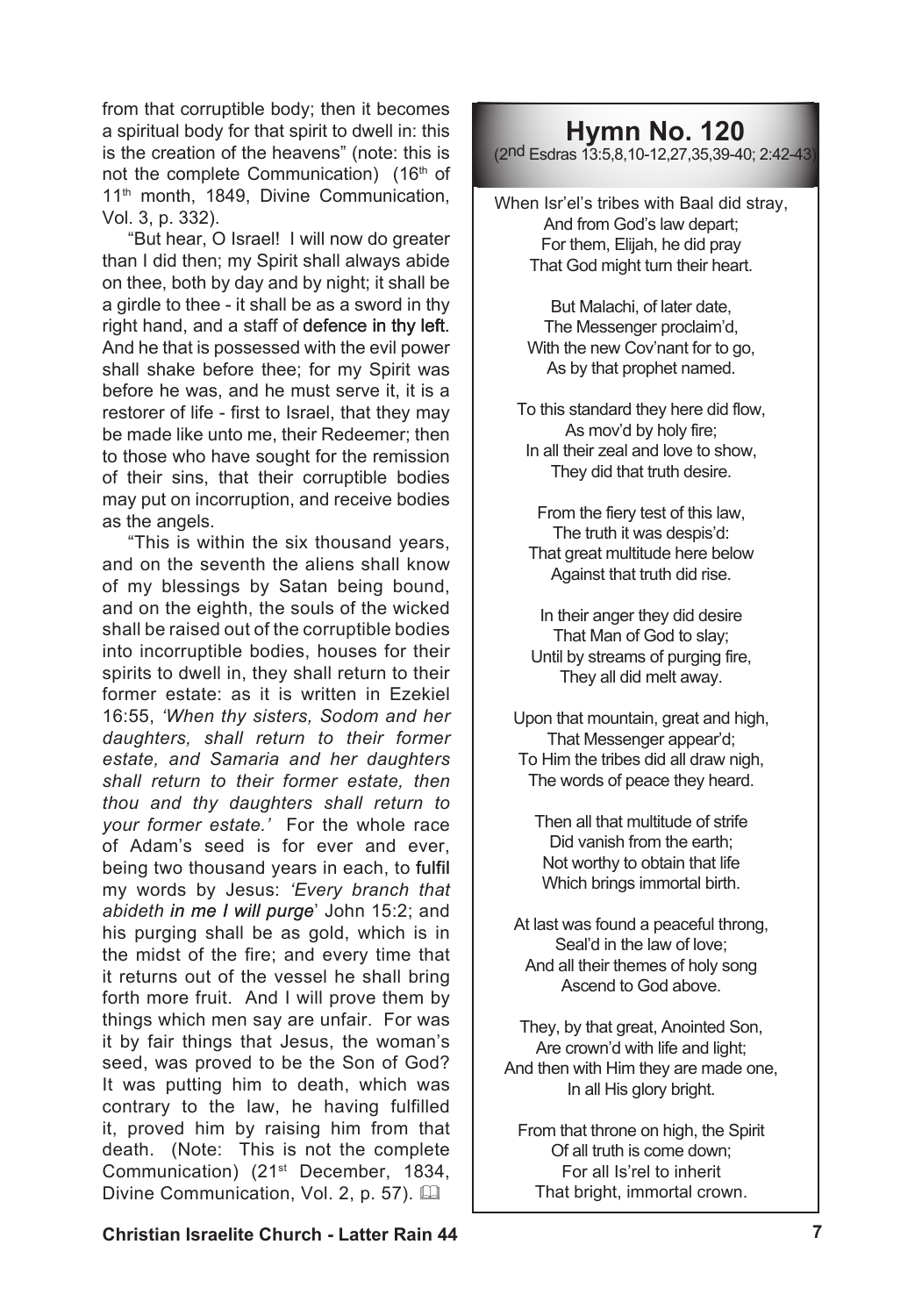from that corruptible body; then it becomes a spiritual body for that spirit to dwell in: this is the creation of the heavens" (note: this is not the complete Communication) (16<sup>th</sup> of 11<sup>th</sup> month, 1849. Divine Communication, Vol. 3, p. 332).

"But hear, O Israel! I will now do greater than I did then; my Spirit shall always abide on thee, both by day and by night; it shall be a girdle to thee - it shall be as a sword in thy right hand, and a staff of defence in thy left. And he that is possessed with the evil power shall shake before thee; for my Spirit was before he was, and he must serve it, it is a restorer of life - first to Israel, that they may be made like unto me, their Redeemer; then to those who have sought for the remission of their sins, that their corruptible bodies may put on incorruption, and receive bodies as the angels.

"This is within the six thousand years, and on the seventh the aliens shall know of my blessings by Satan being bound, and on the eighth, the souls of the wicked shall be raised out of the corruptible bodies into incorruptible bodies, houses for their spirits to dwell in, they shall return to their former estate: as it is written in Ezekiel 16:55, *'When thy sisters, Sodom and her daughters, shall return to their former estate, and Samaria and her daughters shall return to their former estate, then thou and thy daughters shall return to your former estate.'* For the whole race of Adam's seed is for ever and ever, being two thousand years in each, to fulfil my words by Jesus: *'Every branch that abideth in me I will purge*' John 15:2; and his purging shall be as gold, which is in the midst of the fire; and every time that it returns out of the vessel he shall bring forth more fruit. And I will prove them by things which men say are unfair. For was it by fair things that Jesus, the woman's seed, was proved to be the Son of God? It was putting him to death, which was contrary to the law, he having fulfilled it, proved him by raising him from that death. (Note: This is not the complete Communication) (21st December, 1834, Divine Communication, Vol. 2, p. 57). [14]

## **Hymn No. 120**

(2nd Esdras 13:5,8,10-12,27,35,39-40; 2:42-43)

When Isr'el's tribes with Baal did stray, And from God's law depart; For them, Elijah, he did pray That God might turn their heart.

> But Malachi, of later date, The Messenger proclaim'd, With the new Cov'nant for to go, As by that prophet named.

To this standard they here did flow, As mov'd by holy fire; In all their zeal and love to show, They did that truth desire.

From the fiery test of this law, The truth it was despis'd: That great multitude here below Against that truth did rise.

In their anger they did desire That Man of God to slay; Until by streams of purging fire, They all did melt away.

Upon that mountain, great and high, That Messenger appear'd; To Him the tribes did all draw nigh, The words of peace they heard.

Then all that multitude of strife Did vanish from the earth; Not worthy to obtain that life Which brings immortal birth.

At last was found a peaceful throng, Seal'd in the law of love; And all their themes of holy song Ascend to God above.

They, by that great, Anointed Son, Are crown'd with life and light; And then with Him they are made one, In all His glory bright.

From that throne on high, the Spirit Of all truth is come down; For all Is'rel to inherit That bright, immortal crown.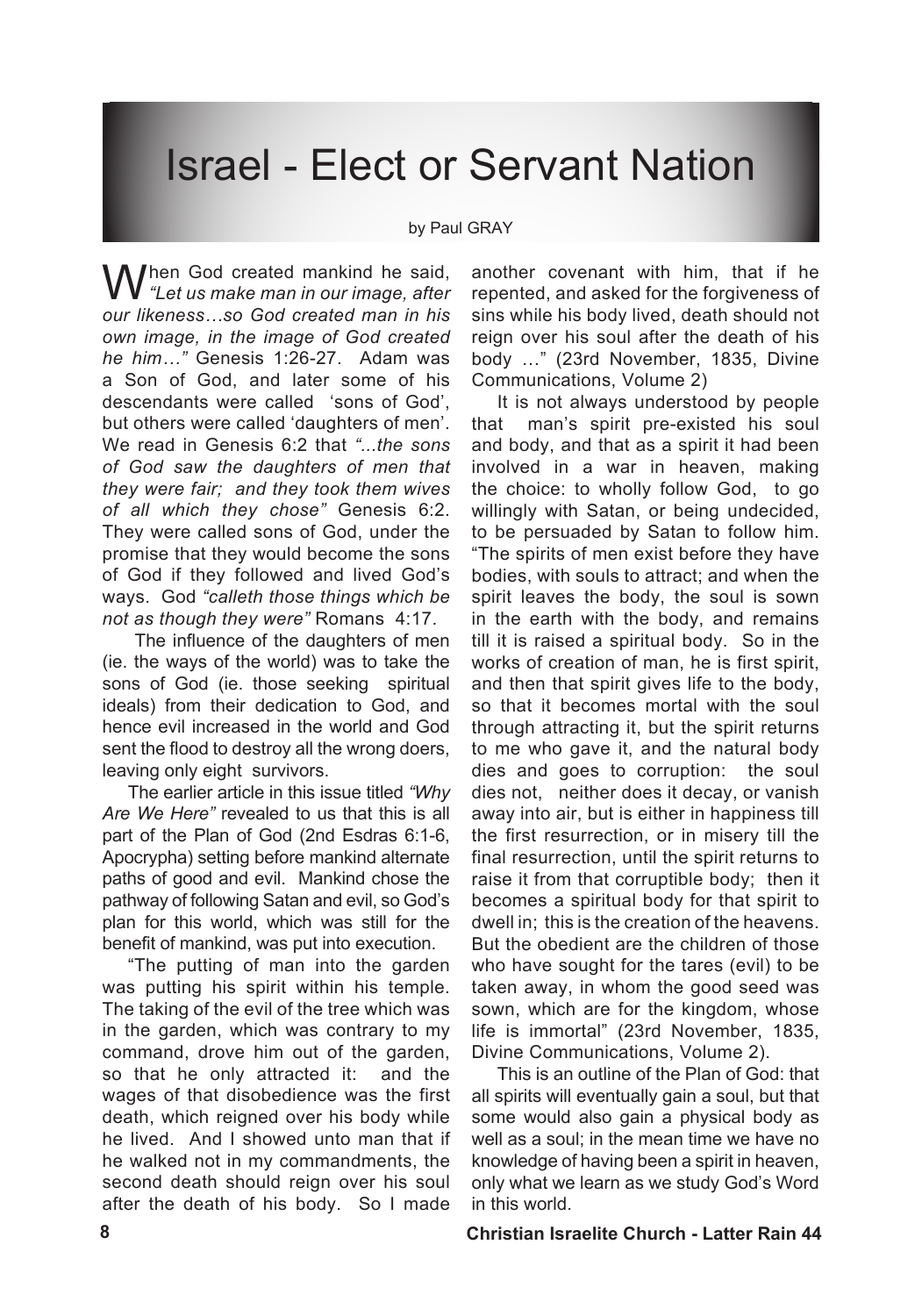# Israel - Elect or Servant Nation

#### by Paul GRAY

M hen God created mankind he said. *"Let us make man in our image, after our likeness…so God created man in his own image, in the image of God created he him…"* Genesis 1:26-27. Adam was a Son of God, and later some of his descendants were called 'sons of God', but others were called 'daughters of men'. We read in Genesis 6:2 that *"...the sons of God saw the daughters of men that they were fair; and they took them wives of all which they chose"* Genesis 6:2. They were called sons of God, under the promise that they would become the sons of God if they followed and lived God's ways. God *"calleth those things which be not as though they were"* Romans 4:17.

The influence of the daughters of men (ie. the ways of the world) was to take the sons of God (ie. those seeking spiritual ideals) from their dedication to God, and hence evil increased in the world and God sent the flood to destroy all the wrong doers, leaving only eight survivors.

The earlier article in this issue titled *"Why Are We Here"* revealed to us that this is all part of the Plan of God (2nd Esdras 6:1-6, Apocrypha) setting before mankind alternate paths of good and evil. Mankind chose the pathway of following Satan and evil, so God's plan for this world, which was still for the benefit of mankind, was put into execution.

"The putting of man into the garden was putting his spirit within his temple. The taking of the evil of the tree which was in the garden, which was contrary to my command, drove him out of the garden, so that he only attracted it: and the wages of that disobedience was the first death, which reigned over his body while he lived. And I showed unto man that if he walked not in my commandments, the second death should reign over his soul after the death of his body. So I made

another covenant with him, that if he repented, and asked for the forgiveness of sins while his body lived, death should not reign over his soul after the death of his body …" (23rd November, 1835, Divine Communications, Volume 2)

It is not always understood by people that man's spirit pre-existed his soul and body, and that as a spirit it had been involved in a war in heaven, making the choice: to wholly follow God, to go willingly with Satan, or being undecided, to be persuaded by Satan to follow him. "The spirits of men exist before they have bodies, with souls to attract; and when the spirit leaves the body, the soul is sown in the earth with the body, and remains till it is raised a spiritual body. So in the works of creation of man, he is first spirit, and then that spirit gives life to the body, so that it becomes mortal with the soul through attracting it, but the spirit returns to me who gave it, and the natural body dies and goes to corruption: the soul dies not, neither does it decay, or vanish away into air, but is either in happiness till the first resurrection, or in misery till the final resurrection, until the spirit returns to raise it from that corruptible body; then it becomes a spiritual body for that spirit to dwell in; this is the creation of the heavens. But the obedient are the children of those who have sought for the tares (evil) to be taken away, in whom the good seed was sown, which are for the kingdom, whose life is immortal" (23rd November, 1835, Divine Communications, Volume 2).

This is an outline of the Plan of God: that all spirits will eventually gain a soul, but that some would also gain a physical body as well as a soul; in the mean time we have no knowledge of having been a spirit in heaven, only what we learn as we study God's Word in this world.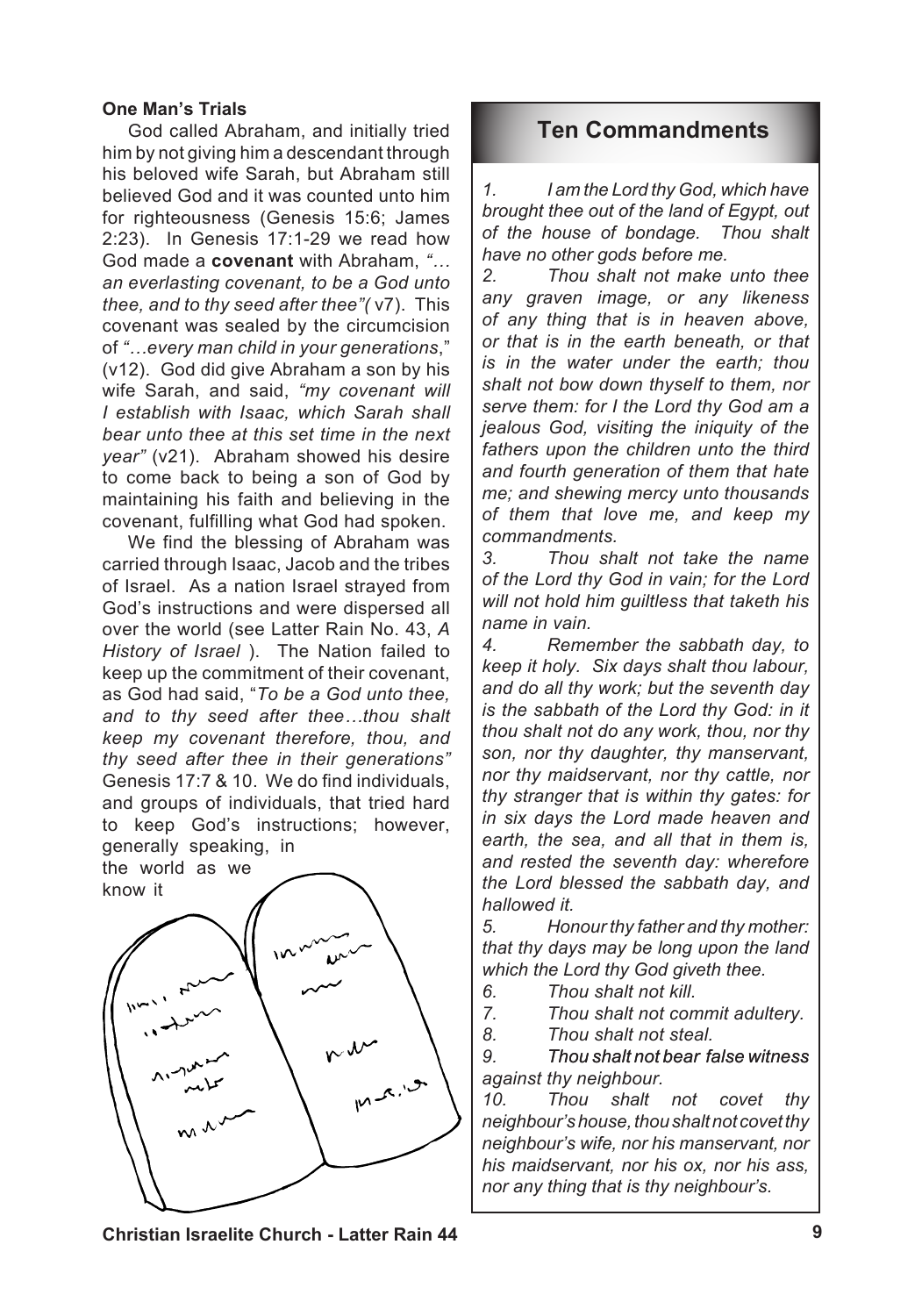## **One Man's Trials**

God called Abraham, and initially tried him by not giving him a descendant through his beloved wife Sarah, but Abraham still believed God and it was counted unto him for righteousness (Genesis 15:6; James 2:23). In Genesis 17:1-29 we read how God made a **covenant** with Abraham, *"… an everlasting covenant, to be a God unto thee, and to thy seed after thee"(* v7). This covenant was sealed by the circumcision of *"…every man child in your generations*," (v12). God did give Abraham a son by his wife Sarah, and said, *"my covenant will I establish with Isaac, which Sarah shall bear unto thee at this set time in the next year"* (v21). Abraham showed his desire to come back to being a son of God by maintaining his faith and believing in the covenant, fulfilling what God had spoken.

We find the blessing of Abraham was carried through Isaac, Jacob and the tribes of Israel. As a nation Israel strayed from God's instructions and were dispersed all over the world (see Latter Rain No. 43, *A History of Israel* ). The Nation failed to keep up the commitment of their covenant, as God had said, "*To be a God unto thee, and to thy seed after thee…thou shalt keep my covenant therefore, thou, and thy seed after thee in their generations"* Genesis 17:7 & 10. We do find individuals, and groups of individuals, that tried hard to keep God's instructions; however, generally speaking, in

the world as we know it



## **Ten Commandments**

*1. I am the Lord thy God, which have brought thee out of the land of Egypt, out of the house of bondage. Thou shalt have no other gods before me.*

*2. Thou shalt not make unto thee any graven image, or any likeness of any thing that is in heaven above, or that is in the earth beneath, or that is in the water under the earth; thou shalt not bow down thyself to them, nor serve them: for I the Lord thy God am a jealous God, visiting the iniquity of the fathers upon the children unto the third and fourth generation of them that hate me; and shewing mercy unto thousands of them that love me, and keep my commandments.*

*3. Thou shalt not take the name of the Lord thy God in vain; for the Lord will not hold him guiltless that taketh his name in vain.*

*4. Remember the sabbath day, to keep it holy. Six days shalt thou labour, and do all thy work; but the seventh day is the sabbath of the Lord thy God: in it thou shalt not do any work, thou, nor thy son, nor thy daughter, thy manservant, nor thy maidservant, nor thy cattle, nor thy stranger that is within thy gates: for in six days the Lord made heaven and earth, the sea, and all that in them is, and rested the seventh day: wherefore the Lord blessed the sabbath day, and hallowed it.*

*5. Honour thy father and thy mother: that thy days may be long upon the land which the Lord thy God giveth thee.*

*6. Thou shalt not kill.*

*7. Thou shalt not commit adultery.*

*8. Thou shalt not steal.*

*9. Thou shalt not bear false witness Thou shalt not bear false witness against thy neighbour.*

*10. Thou shalt not covet thy neighbour's house, thou shalt not covet thy neighbour's wife, nor his manservant, nor his maidservant, nor his ox, nor his ass, nor any thing that is thy neighbour's.*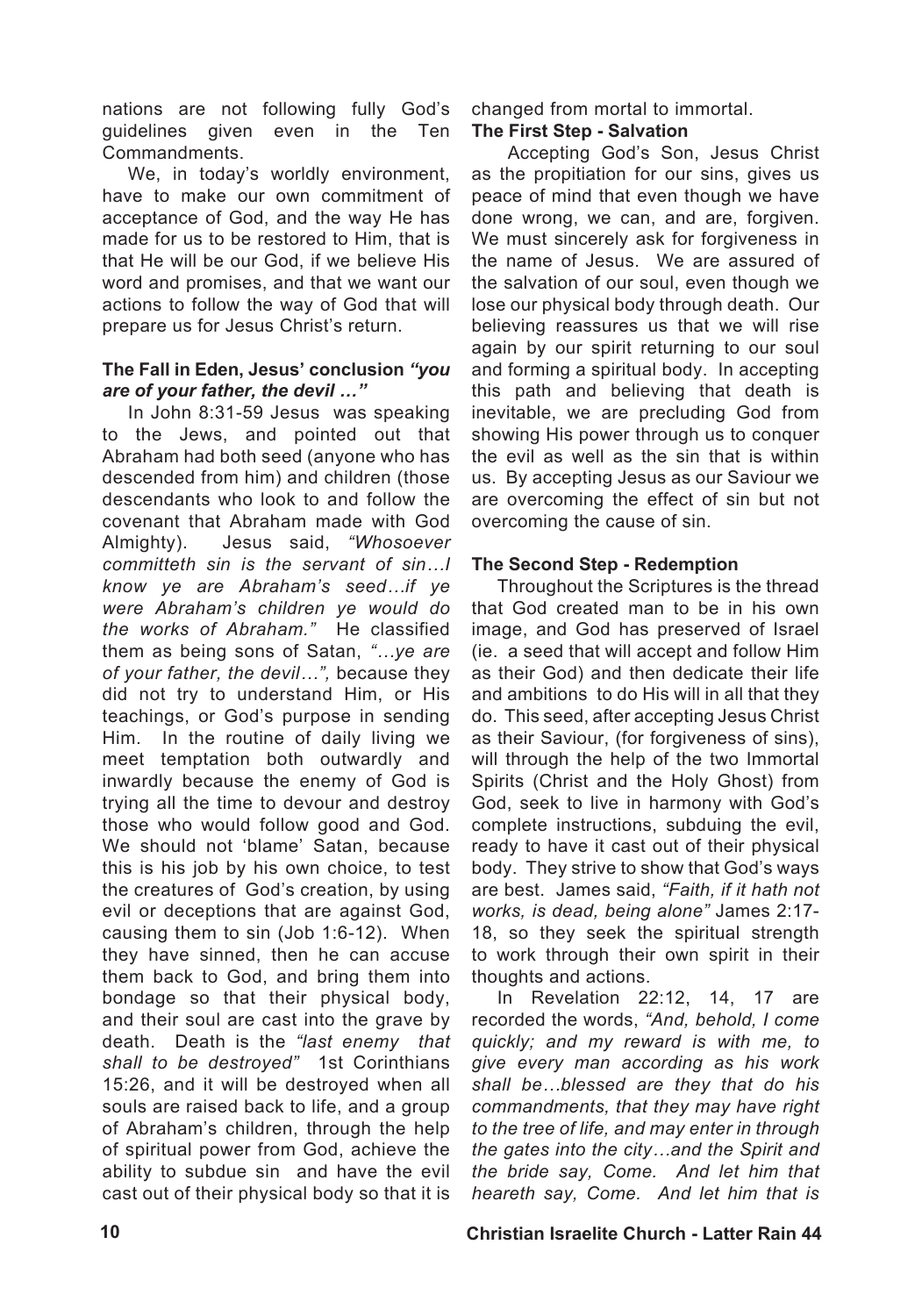nations are not following fully God's guidelines given even in the Ten Commandments.

We, in today's worldly environment. have to make our own commitment of acceptance of God, and the way He has made for us to be restored to Him, that is that He will be our God, if we believe His word and promises, and that we want our actions to follow the way of God that will prepare us for Jesus Christ's return.

## **The Fall in Eden, Jesus' conclusion** *"you are of your father, the devil …"*

In John 8:31-59 Jesus was speaking to the Jews, and pointed out that Abraham had both seed (anyone who has descended from him) and children (those descendants who look to and follow the covenant that Abraham made with God Almighty). Jesus said, *"Whosoever committeth sin is the servant of sin…I know ye are Abraham's seed…if ye were Abraham's children ye would do the works of Abraham."* He classified them as being sons of Satan, *"…ye are of your father, the devil…",* because they did not try to understand Him, or His teachings, or God's purpose in sending Him. In the routine of daily living we meet temptation both outwardly and inwardly because the enemy of God is trying all the time to devour and destroy those who would follow good and God. We should not 'blame' Satan, because this is his job by his own choice, to test the creatures of God's creation, by using evil or deceptions that are against God, causing them to sin (Job 1:6-12). When they have sinned, then he can accuse them back to God, and bring them into bondage so that their physical body, and their soul are cast into the grave by death. Death is the *"last enemy that shall to be destroyed"* 1st Corinthians 15:26, and it will be destroyed when all souls are raised back to life, and a group of Abraham's children, through the help of spiritual power from God, achieve the ability to subdue sin and have the evil cast out of their physical body so that it is

changed from mortal to immortal.

## **The First Step - Salvation**

Accepting God's Son, Jesus Christ as the propitiation for our sins, gives us peace of mind that even though we have done wrong, we can, and are, forgiven. We must sincerely ask for forgiveness in the name of Jesus. We are assured of the salvation of our soul, even though we lose our physical body through death. Our believing reassures us that we will rise again by our spirit returning to our soul and forming a spiritual body. In accepting this path and believing that death is inevitable, we are precluding God from showing His power through us to conquer the evil as well as the sin that is within us. By accepting Jesus as our Saviour we are overcoming the effect of sin but not overcoming the cause of sin.

## **The Second Step - Redemption**

Throughout the Scriptures is the thread that God created man to be in his own image, and God has preserved of Israel (ie. a seed that will accept and follow Him as their God) and then dedicate their life and ambitions to do His will in all that they do. This seed, after accepting Jesus Christ as their Saviour, (for forgiveness of sins), will through the help of the two Immortal Spirits (Christ and the Holy Ghost) from God, seek to live in harmony with God's complete instructions, subduing the evil, ready to have it cast out of their physical body. They strive to show that God's ways are best. James said, *"Faith, if it hath not works, is dead, being alone"* James 2:17- 18, so they seek the spiritual strength to work through their own spirit in their thoughts and actions.

In Revelation 22:12, 14, 17 are recorded the words, *"And, behold, I come quickly; and my reward is with me, to give every man according as his work shall be…blessed are they that do his commandments, that they may have right to the tree of life, and may enter in through the gates into the city…and the Spirit and the bride say, Come. And let him that heareth say, Come. And let him that is*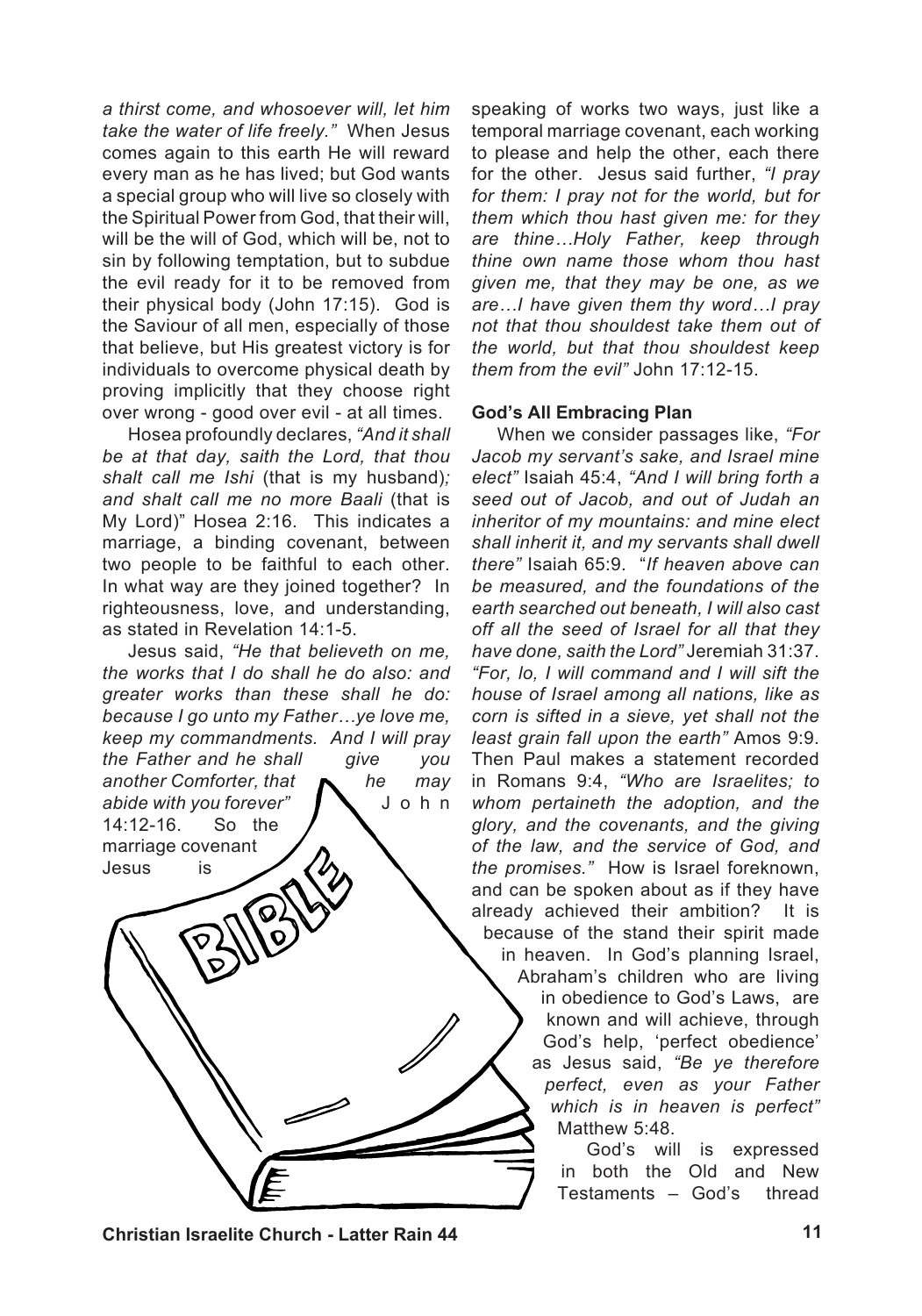*a thirst come, and whosoever will, let him take the water of life freely."* When Jesus comes again to this earth He will reward every man as he has lived; but God wants a special group who will live so closely with the Spiritual Power from God, that their will, will be the will of God, which will be, not to sin by following temptation, but to subdue the evil ready for it to be removed from their physical body (John 17:15). God is the Saviour of all men, especially of those that believe, but His greatest victory is for individuals to overcome physical death by proving implicitly that they choose right over wrong - good over evil - at all times.

Hosea profoundly declares, *"And it shall be at that day, saith the Lord, that thou shalt call me Ishi* (that is my husband)*; and shalt call me no more Baali* (that is My Lord)" Hosea 2:16. This indicates a marriage, a binding covenant, between two people to be faithful to each other. In what way are they joined together? In righteousness, love, and understanding, as stated in Revelation 14:1-5.

Jesus said, *"He that believeth on me, the works that I do shall he do also: and greater works than these shall he do: because I go unto my Father…ye love me, keep my commandments. And I will pray the Father and he shall give you another Comforter, that he may*  abide with you forever"  $\blacksquare$  J o h n 14:12-16. So the marriage covenant Jesus is

temporal marriage covenant, each working to please and help the other, each there for the other. Jesus said further, *"I pray for them: I pray not for the world, but for them which thou hast given me: for they are thine…Holy Father, keep through thine own name those whom thou hast given me, that they may be one, as we are…I have given them thy word…I pray not that thou shouldest take them out of the world, but that thou shouldest keep them from the evil"* John 17:12-15.

speaking of works two ways, just like a

## **God's All Embracing Plan**

When we consider passages like, *"For Jacob my servant's sake, and Israel mine elect"* Isaiah 45:4, *"And I will bring forth a seed out of Jacob, and out of Judah an inheritor of my mountains: and mine elect shall inherit it, and my servants shall dwell there"* Isaiah 65:9. "*If heaven above can be measured, and the foundations of the earth searched out beneath, I will also cast off all the seed of Israel for all that they have done, saith the Lord"* Jeremiah 31:37. *"For, lo, I will command and I will sift the house of Israel among all nations, like as corn is sifted in a sieve, yet shall not the least grain fall upon the earth"* Amos 9:9. Then Paul makes a statement recorded in Romans 9:4, *"Who are Israelites; to whom pertaineth the adoption, and the glory, and the covenants, and the giving of the law, and the service of God, and the promises."* How is Israel foreknown, and can be spoken about as if they have already achieved their ambition? It is because of the stand their spirit made in heaven. In God's planning Israel, Abraham's children who are living

in obedience to God's Laws, are known and will achieve, through God's help, 'perfect obedience' as Jesus said, *"Be ye therefore perfect, even as your Father which is in heaven is perfect"* Matthew 5:48.

God's will is expressed in both the Old and New Testaments – God's thread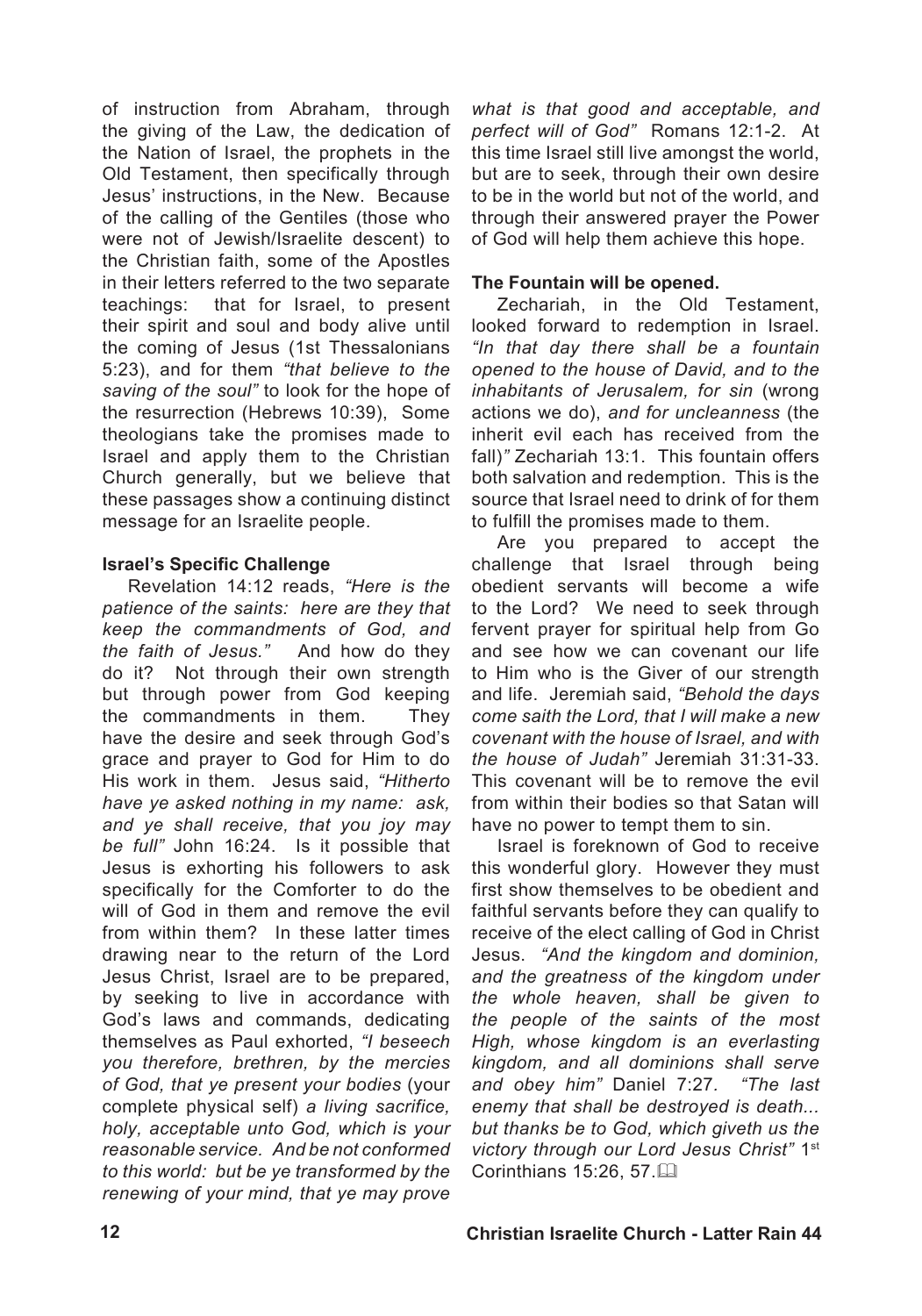of instruction from Abraham, through the giving of the Law, the dedication of the Nation of Israel, the prophets in the Old Testament, then specifically through Jesus' instructions, in the New. Because of the calling of the Gentiles (those who were not of Jewish/Israelite descent) to the Christian faith, some of the Apostles in their letters referred to the two separate teachings: that for Israel, to present their spirit and soul and body alive until the coming of Jesus (1st Thessalonians 5:23), and for them *"that believe to the saving of the soul"* to look for the hope of the resurrection (Hebrews 10:39), Some theologians take the promises made to Israel and apply them to the Christian Church generally, but we believe that these passages show a continuing distinct message for an Israelite people.

## **Israel's Specific Challenge**

Revelation 14:12 reads, *"Here is the patience of the saints: here are they that keep the commandments of God, and the faith of Jesus."* And how do they do it? Not through their own strength but through power from God keeping the commandments in them. They have the desire and seek through God's grace and prayer to God for Him to do His work in them. Jesus said, *"Hitherto have ye asked nothing in my name: ask, and ye shall receive, that you joy may be full"* John 16:24. Is it possible that Jesus is exhorting his followers to ask specifically for the Comforter to do the will of God in them and remove the evil from within them? In these latter times drawing near to the return of the Lord Jesus Christ, Israel are to be prepared, by seeking to live in accordance with God's laws and commands, dedicating themselves as Paul exhorted, *"I beseech you therefore, brethren, by the mercies of God, that ye present your bodies* (your complete physical self) *a living sacrifice, holy, acceptable unto God, which is your reasonable service. And be not conformed to this world: but be ye transformed by the renewing of your mind, that ye may prove* 

*what is that good and acceptable, and perfect will of God"* Romans 12:1-2. At this time Israel still live amongst the world, but are to seek, through their own desire to be in the world but not of the world, and through their answered prayer the Power of God will help them achieve this hope.

## **The Fountain will be opened.**

Zechariah, in the Old Testament, looked forward to redemption in Israel. *"In that day there shall be a fountain opened to the house of David, and to the inhabitants of Jerusalem, for sin* (wrong actions we do), *and for uncleanness* (the inherit evil each has received from the fall)*"* Zechariah 13:1. This fountain offers both salvation and redemption. This is the source that Israel need to drink of for them to fulfill the promises made to them.

Are you prepared to accept the challenge that Israel through being obedient servants will become a wife to the Lord? We need to seek through fervent prayer for spiritual help from Go and see how we can covenant our life to Him who is the Giver of our strength and life. Jeremiah said, *"Behold the days come saith the Lord, that I will make a new covenant with the house of Israel, and with the house of Judah"* Jeremiah 31:31-33. This covenant will be to remove the evil from within their bodies so that Satan will have no power to tempt them to sin.

Israel is foreknown of God to receive this wonderful glory. However they must first show themselves to be obedient and faithful servants before they can qualify to receive of the elect calling of God in Christ Jesus. *"And the kingdom and dominion, and the greatness of the kingdom under the whole heaven, shall be given to the people of the saints of the most High, whose kingdom is an everlasting kingdom, and all dominions shall serve and obey him"* Daniel 7:27*. "The last enemy that shall be destroyed is death... but thanks be to God, which giveth us the victory through our Lord Jesus Christ"* 1st Corinthians  $15:26, 57.$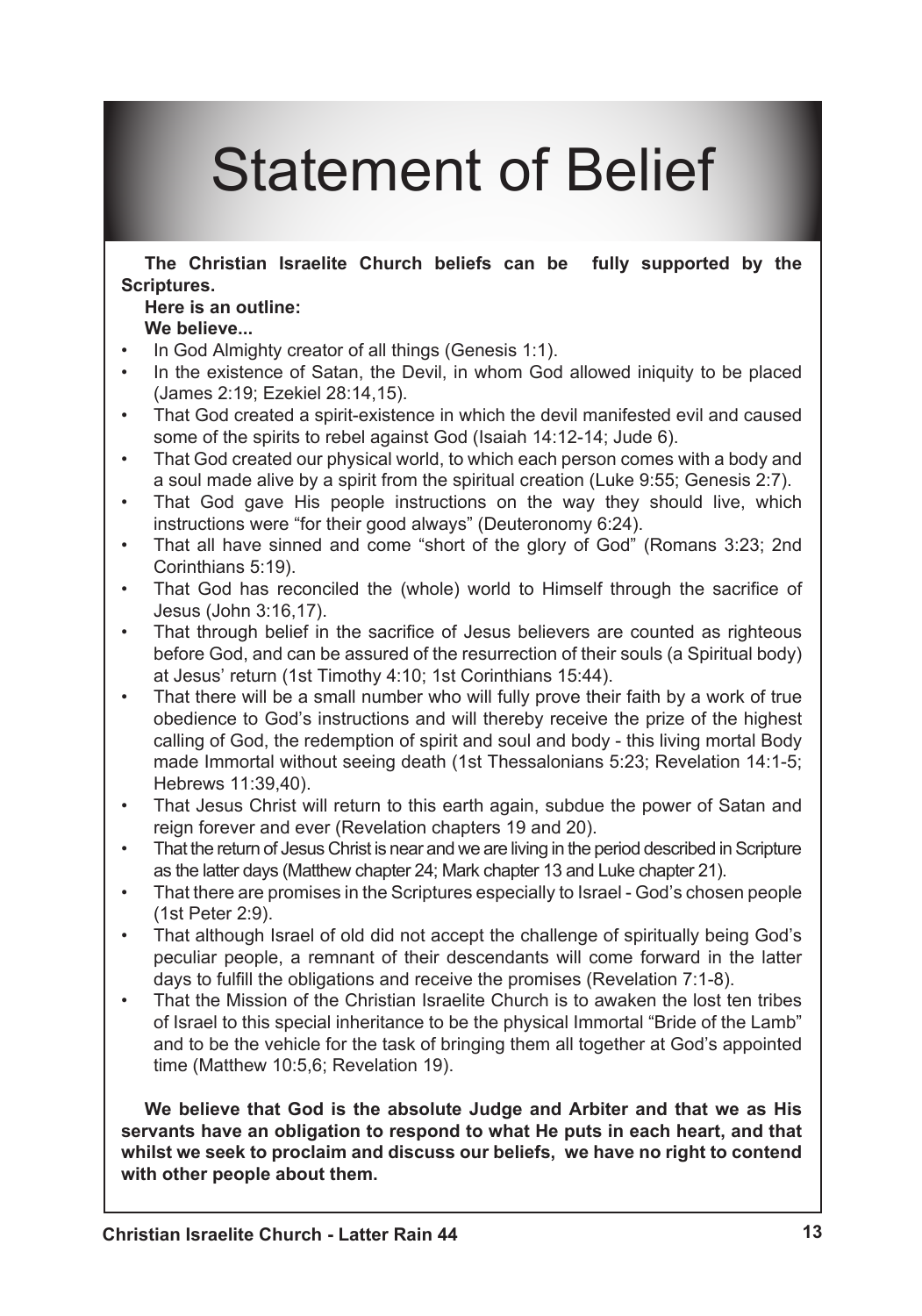# Statement of Belief

**The Christian Israelite Church beliefs can be fully supported by the Scriptures.** 

## **Here is an outline:**

## **We believe...**

- In God Almighty creator of all things (Genesis 1:1). •
- In the existence of Satan, the Devil, in whom God allowed iniquity to be placed (James 2:19; Ezekiel 28:14,15). •
- That God created a spirit-existence in which the devil manifested evil and caused some of the spirits to rebel against God (Isaiah 14:12-14; Jude 6). •
- That God created our physical world, to which each person comes with a body and a soul made alive by a spirit from the spiritual creation (Luke 9:55; Genesis 2:7). •
- That God gave His people instructions on the way they should live, which instructions were "for their good always" (Deuteronomy 6:24). •
- That all have sinned and come "short of the glory of God" (Romans 3:23; 2nd Corinthians 5:19). •
- That God has reconciled the (whole) world to Himself through the sacrifice of Jesus (John 3:16,17). •
- That through belief in the sacrifice of Jesus believers are counted as righteous before God, and can be assured of the resurrection of their souls (a Spiritual body) at Jesus' return (1st Timothy 4:10; 1st Corinthians 15:44). •
- That there will be a small number who will fully prove their faith by a work of true obedience to God's instructions and will thereby receive the prize of the highest calling of God, the redemption of spirit and soul and body - this living mortal Body made Immortal without seeing death (1st Thessalonians 5:23; Revelation 14:1-5; Hebrews 11:39,40). •
- That Jesus Christ will return to this earth again, subdue the power of Satan and reign forever and ever (Revelation chapters 19 and 20). •
- That the return of Jesus Christ is near and we are living in the period described in Scripture as the latter days (Matthew chapter 24; Mark chapter 13 and Luke chapter 21). •
- That there are promises in the Scriptures especially to Israel God's chosen people (1st Peter 2:9). •
- That although Israel of old did not accept the challenge of spiritually being God's peculiar people, a remnant of their descendants will come forward in the latter days to fulfill the obligations and receive the promises (Revelation 7:1-8). •
- That the Mission of the Christian Israelite Church is to awaken the lost ten tribes of Israel to this special inheritance to be the physical Immortal "Bride of the Lamb" and to be the vehicle for the task of bringing them all together at God's appointed time (Matthew 10:5,6; Revelation 19). •

**We believe that God is the absolute Judge and Arbiter and that we as His servants have an obligation to respond to what He puts in each heart, and that whilst we seek to proclaim and discuss our beliefs, we have no right to contend with other people about them.**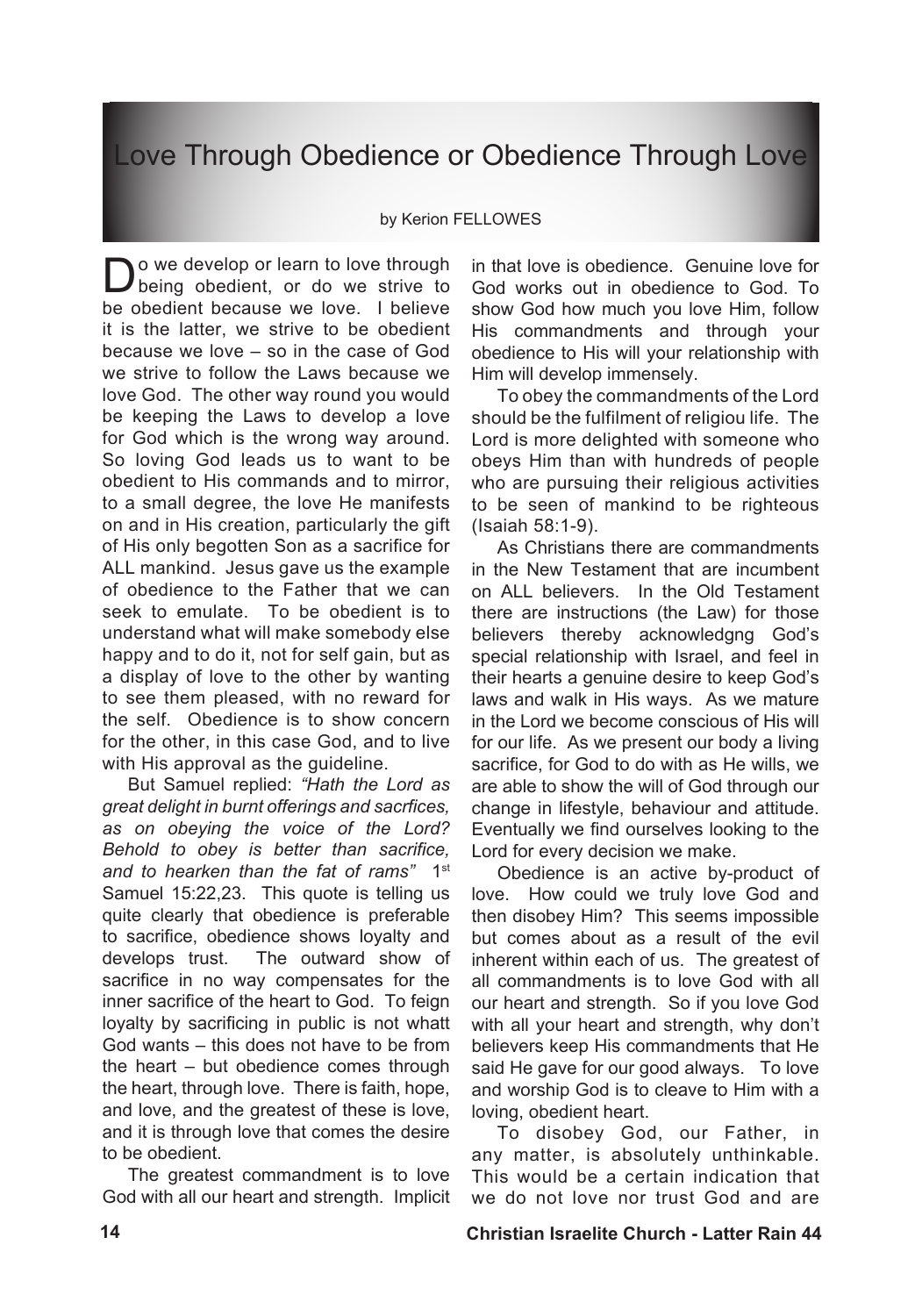## Love Through Obedience or Obedience Through Love

#### by Kerion FELLOWES

Do we develop or learn to love through<br>being obedient, or do we strive to be obedient because we love. I believe it is the latter, we strive to be obedient because we love – so in the case of God we strive to follow the Laws because we love God. The other way round you would be keeping the Laws to develop a love for God which is the wrong way around. So loving God leads us to want to be obedient to His commands and to mirror, to a small degree, the love He manifests on and in His creation, particularly the gift of His only begotten Son as a sacrifice for ALL mankind. Jesus gave us the example of obedience to the Father that we can seek to emulate. To be obedient is to understand what will make somebody else happy and to do it, not for self gain, but as a display of love to the other by wanting to see them pleased, with no reward for the self. Obedience is to show concern for the other, in this case God, and to live with His approval as the guideline.

But Samuel replied: *"Hath the Lord as great delight in burnt offerings and sacrfices, as on obeying the voice of the Lord? Behold to obey is better than sacrifice, and to hearken than the fat of rams"* 1st Samuel 15:22,23. This quote is telling us quite clearly that obedience is preferable to sacrifice, obedience shows loyalty and develops trust. The outward show of sacrifice in no way compensates for the inner sacrifice of the heart to God. To feign loyalty by sacrificing in public is not whatt God wants – this does not have to be from the heart – but obedience comes through the heart, through love. There is faith, hope, and love, and the greatest of these is love, and it is through love that comes the desire to be obedient.

The greatest commandment is to love God with all our heart and strength. Implicit in that love is obedience. Genuine love for God works out in obedience to God. To show God how much you love Him, follow His commandments and through your obedience to His will your relationship with Him will develop immensely.

To obey the commandments of the Lord should be the fulfilment of religiou life. The Lord is more delighted with someone who obeys Him than with hundreds of people who are pursuing their religious activities to be seen of mankind to be righteous (Isaiah 58:1-9).

As Christians there are commandments in the New Testament that are incumbent on ALL believers. In the Old Testament there are instructions (the Law) for those believers thereby acknowledgng God's special relationship with Israel, and feel in their hearts a genuine desire to keep God's laws and walk in His ways. As we mature in the Lord we become conscious of His will for our life. As we present our body a living sacrifice, for God to do with as He wills, we are able to show the will of God through our change in lifestyle, behaviour and attitude. Eventually we find ourselves looking to the Lord for every decision we make.

Obedience is an active by-product of love. How could we truly love God and then disobey Him? This seems impossible but comes about as a result of the evil inherent within each of us. The greatest of all commandments is to love God with all our heart and strength. So if you love God with all your heart and strength, why don't believers keep His commandments that He said He gave for our good always. To love and worship God is to cleave to Him with a loving, obedient heart.

To disobey God, our Father, in any matter, is absolutely unthinkable. This would be a certain indication that we do not love nor trust God and are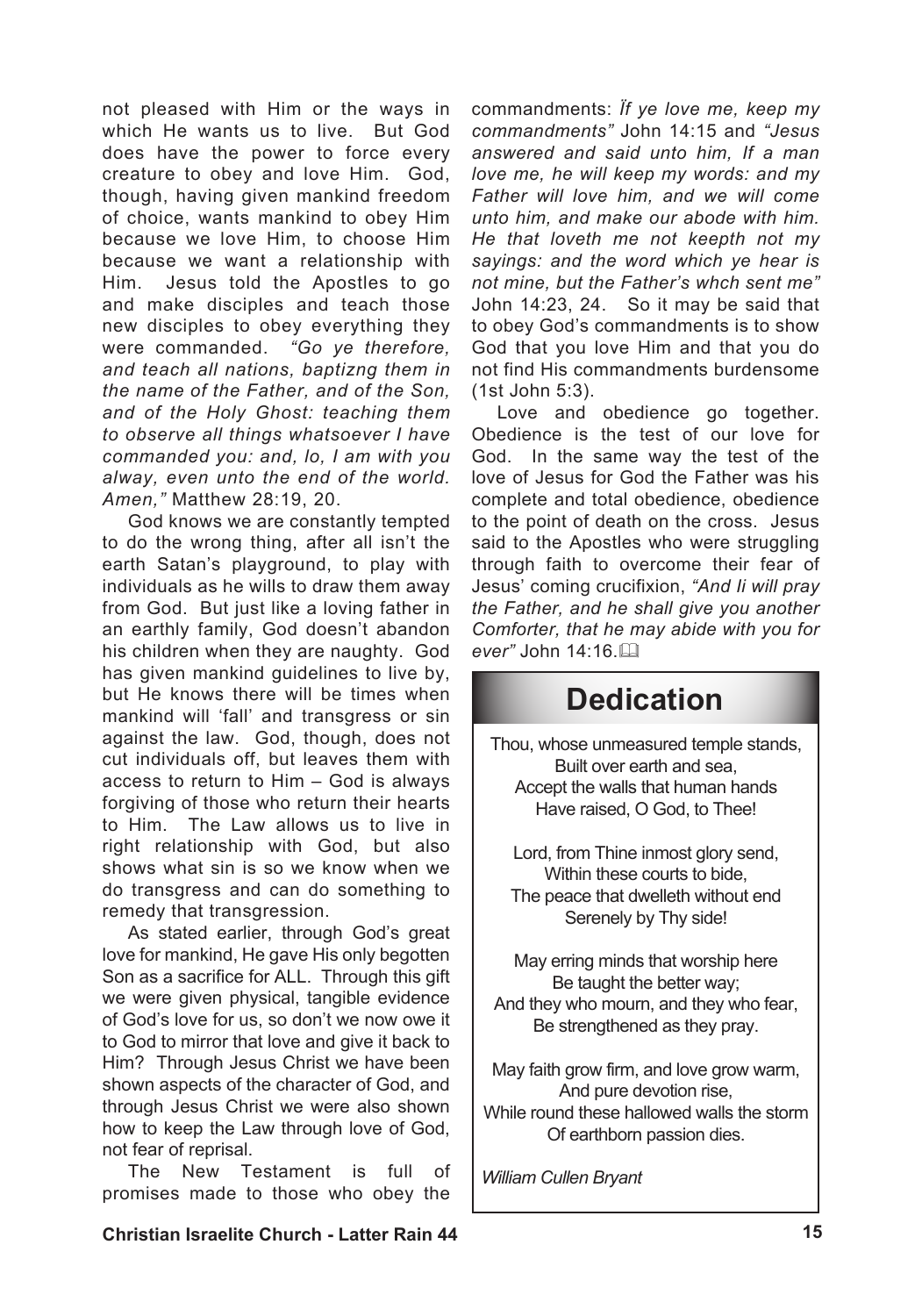not pleased with Him or the ways in which He wants us to live. But God does have the power to force every creature to obey and love Him. God, though, having given mankind freedom of choice, wants mankind to obey Him because we love Him, to choose Him because we want a relationship with Him. Jesus told the Apostles to go and make disciples and teach those new disciples to obey everything they were commanded. *"Go ye therefore, and teach all nations, baptizng them in the name of the Father, and of the Son, and of the Holy Ghost: teaching them to observe all things whatsoever I have commanded you: and, lo, I am with you alway, even unto the end of the world. Amen,"* Matthew 28:19, 20.

God knows we are constantly tempted to do the wrong thing, after all isn't the earth Satan's playground, to play with individuals as he wills to draw them away from God. But just like a loving father in an earthly family, God doesn't abandon his children when they are naughty. God has given mankind guidelines to live by, but He knows there will be times when mankind will 'fall' and transgress or sin against the law. God, though, does not cut individuals off, but leaves them with access to return to Him – God is always forgiving of those who return their hearts to Him. The Law allows us to live in right relationship with God, but also shows what sin is so we know when we do transgress and can do something to remedy that transgression.

As stated earlier, through God's great love for mankind, He gave His only begotten Son as a sacrifice for ALL. Through this gift we were given physical, tangible evidence of God's love for us, so don't we now owe it to God to mirror that love and give it back to Him? Through Jesus Christ we have been shown aspects of the character of God, and through Jesus Christ we were also shown how to keep the Law through love of God, not fear of reprisal.

The New Testament is full of promises made to those who obey the commandments: *Ïf ye love me, keep my commandments"* John 14:15 and *"Jesus answered and said unto him, If a man love me, he will keep my words: and my Father will love him, and we will come unto him, and make our abode with him. He that loveth me not keepth not my sayings: and the word which ye hear is not mine, but the Father's whch sent me"*  John 14:23, 24. So it may be said that to obey God's commandments is to show God that you love Him and that you do not find His commandments burdensome (1st John 5:3).

Love and obedience go together. Obedience is the test of our love for God. In the same way the test of the love of Jesus for God the Father was his complete and total obedience, obedience to the point of death on the cross. Jesus said to the Apostles who were struggling through faith to overcome their fear of Jesus' coming crucifixion, *"And Ii will pray the Father, and he shall give you another Comforter, that he may abide with you for ever"* John 14:16.&

## **Dedication**

Thou, whose unmeasured temple stands, Built over earth and sea, Accept the walls that human hands Have raised, O God, to Thee!

Lord, from Thine inmost glory send, Within these courts to bide The peace that dwelleth without end Serenely by Thy side!

May erring minds that worship here Be taught the better way; And they who mourn, and they who fear, Be strengthened as they pray.

May faith grow firm, and love grow warm, And pure devotion rise, While round these hallowed walls the storm Of earthborn passion dies.

*William Cullen Bryant*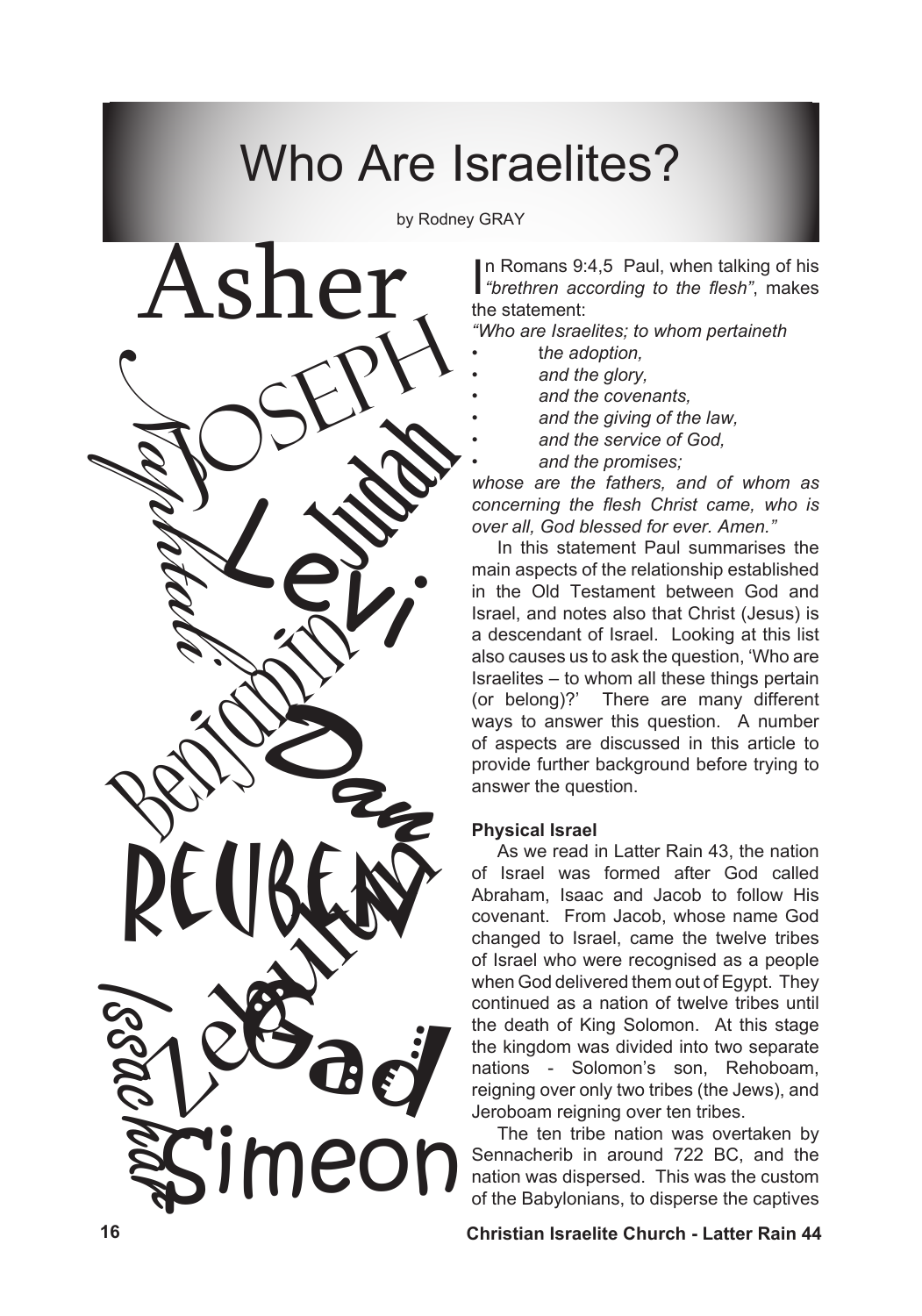# Who Are Israelites?

by Rodney GRAY

*• • • •*



In Romans 9:4,5 Paul, when talking of his<br>"brethren according to the flesh", makes n Romans 9:4,5 Paul, when talking of his the statement:

*"Who are Israelites; to whom pertaineth* 

- t*he adoption,*  •
- *and the glory, •*
	- *and the covenants,*
	- *and the giving of the law,*
	- *and the service of God,*
	- *and the promises;*

*whose are the fathers, and of whom as concerning the flesh Christ came, who is over all, God blessed for ever. Amen."*

In this statement Paul summarises the main aspects of the relationship established in the Old Testament between God and Israel, and notes also that Christ (Jesus) is a descendant of Israel. Looking at this list also causes us to ask the question, 'Who are Israelites – to whom all these things pertain (or belong)?' There are many different ways to answer this question. A number of aspects are discussed in this article to provide further background before trying to answer the question.

## **Physical Israel**

As we read in Latter Rain 43, the nation of Israel was formed after God called Abraham, Isaac and Jacob to follow His covenant. From Jacob, whose name God changed to Israel, came the twelve tribes of Israel who were recognised as a people when God delivered them out of Egypt. They continued as a nation of twelve tribes until the death of King Solomon. At this stage the kingdom was divided into two separate nations - Solomon's son, Rehoboam, reigning over only two tribes (the Jews), and Jeroboam reigning over ten tribes.

The ten tribe nation was overtaken by Sennacherib in around 722 BC, and the nation was dispersed. This was the custom of the Babylonians, to disperse the captives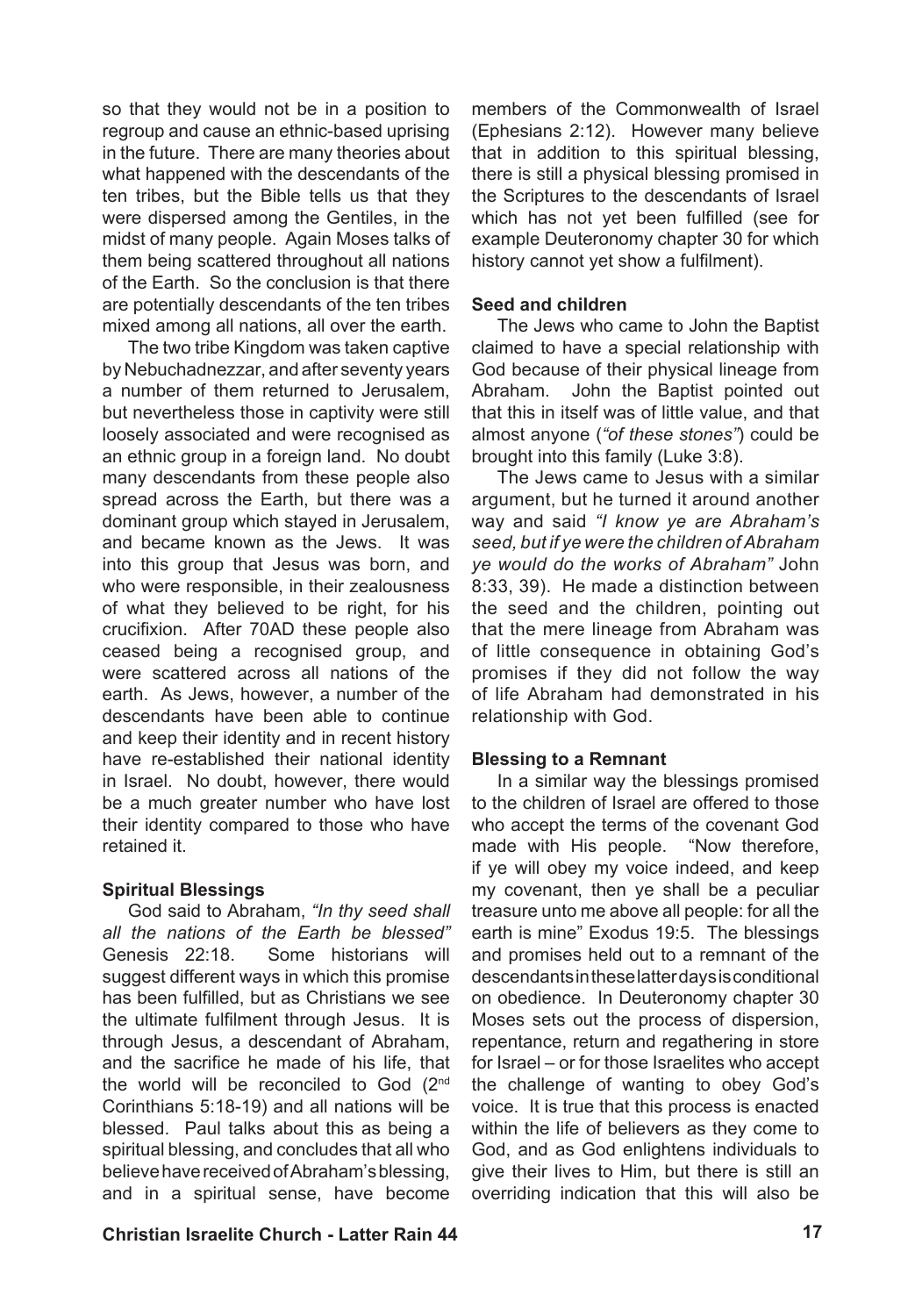so that they would not be in a position to regroup and cause an ethnic-based uprising in the future. There are many theories about what happened with the descendants of the ten tribes, but the Bible tells us that they were dispersed among the Gentiles, in the midst of many people. Again Moses talks of them being scattered throughout all nations of the Earth. So the conclusion is that there are potentially descendants of the ten tribes mixed among all nations, all over the earth.

The two tribe Kingdom was taken captive by Nebuchadnezzar, and after seventy years a number of them returned to Jerusalem, but nevertheless those in captivity were still loosely associated and were recognised as an ethnic group in a foreign land. No doubt many descendants from these people also spread across the Earth, but there was a dominant group which stayed in Jerusalem, and became known as the Jews. It was into this group that Jesus was born, and who were responsible, in their zealousness of what they believed to be right, for his crucifixion. After 70AD these people also ceased being a recognised group, and were scattered across all nations of the earth. As Jews, however, a number of the descendants have been able to continue and keep their identity and in recent history have re-established their national identity in Israel. No doubt, however, there would be a much greater number who have lost their identity compared to those who have retained it.

#### **Spiritual Blessings**

God said to Abraham, *"In thy seed shall all the nations of the Earth be blessed"* Genesis 22:18. Some historians will suggest different ways in which this promise has been fulfilled, but as Christians we see the ultimate fulfilment through Jesus. It is through Jesus, a descendant of Abraham, and the sacrifice he made of his life, that the world will be reconciled to God (2nd Corinthians 5:18-19) and all nations will be blessed. Paul talks about this as being a spiritual blessing, and concludes that all who believehavereceivedofAbraham'sblessing, and in a spiritual sense, have become

members of the Commonwealth of Israel (Ephesians 2:12). However many believe that in addition to this spiritual blessing, there is still a physical blessing promised in the Scriptures to the descendants of Israel which has not yet been fulfilled (see for example Deuteronomy chapter 30 for which history cannot yet show a fulfilment).

#### **Seed and children**

The Jews who came to John the Baptist claimed to have a special relationship with God because of their physical lineage from Abraham. John the Baptist pointed out that this in itself was of little value, and that almost anyone (*"of these stones"*) could be brought into this family (Luke 3:8).

The Jews came to Jesus with a similar argument, but he turned it around another way and said *"I know ye are Abraham's seed, but if ye were the children of Abraham ye would do the works of Abraham"* John 8:33, 39). He made a distinction between the seed and the children, pointing out that the mere lineage from Abraham was of little consequence in obtaining God's promises if they did not follow the way of life Abraham had demonstrated in his relationship with God.

#### **Blessing to a Remnant**

In a similar way the blessings promised to the children of Israel are offered to those who accept the terms of the covenant God made with His people. "Now therefore, if ye will obey my voice indeed, and keep my covenant, then ye shall be a peculiar treasure unto me above all people: for all the earth is mine" Exodus 19:5. The blessings and promises held out to a remnant of the descendantsintheselatterdaysisconditional on obedience. In Deuteronomy chapter 30 Moses sets out the process of dispersion, repentance, return and regathering in store for Israel – or for those Israelites who accept the challenge of wanting to obey God's voice. It is true that this process is enacted within the life of believers as they come to God, and as God enlightens individuals to give their lives to Him, but there is still an overriding indication that this will also be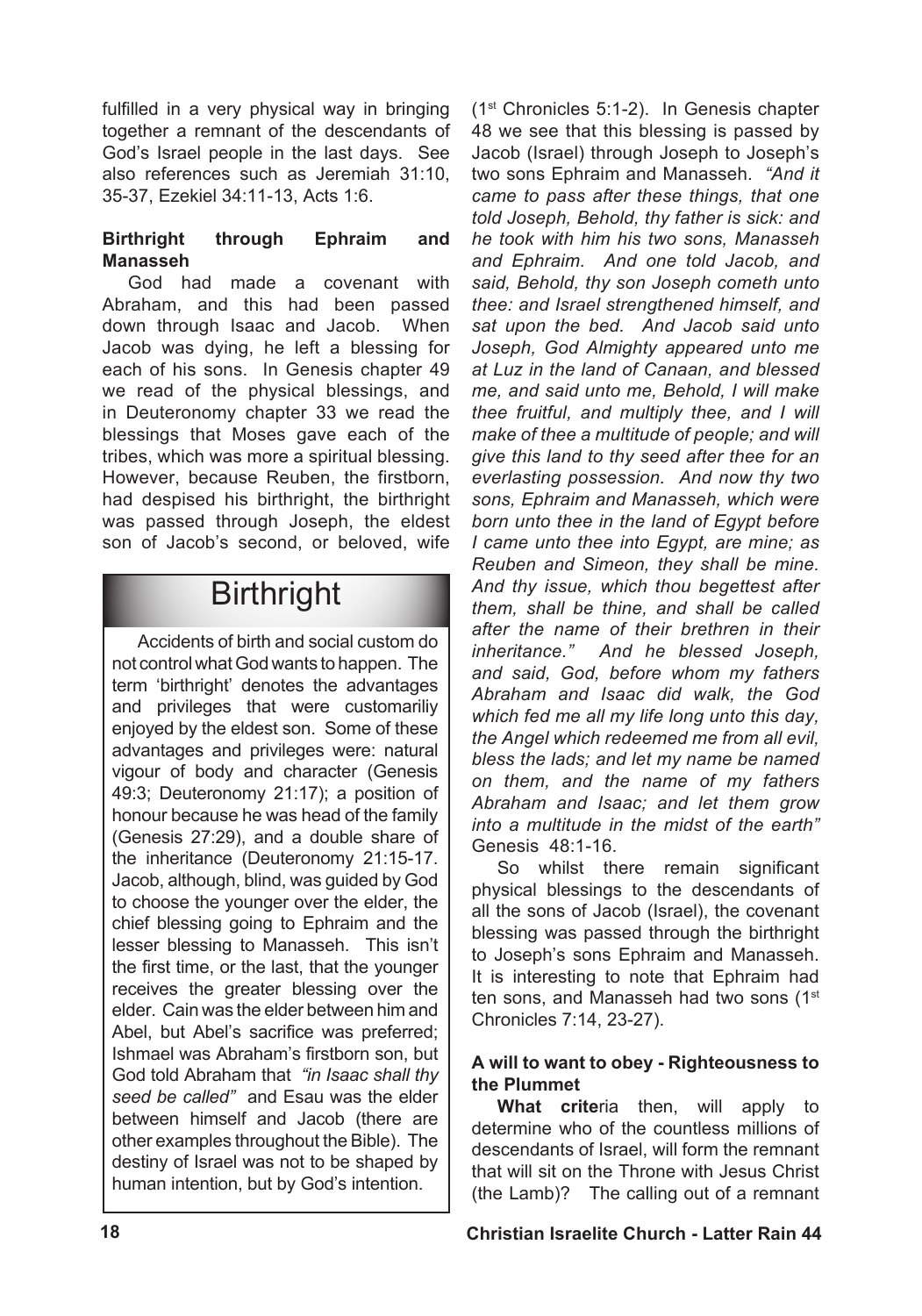fulfilled in a very physical way in bringing together a remnant of the descendants of God's Israel people in the last days. See also references such as Jeremiah 31:10, 35-37, Ezekiel 34:11-13, Acts 1:6.

## **Birthright through Ephraim and Manasseh**

God had made a covenant with Abraham, and this had been passed down through Isaac and Jacob. When Jacob was dying, he left a blessing for each of his sons. In Genesis chapter 49 we read of the physical blessings, and in Deuteronomy chapter 33 we read the blessings that Moses gave each of the tribes, which was more a spiritual blessing. However, because Reuben, the firstborn, had despised his birthright, the birthright was passed through Joseph, the eldest son of Jacob's second, or beloved, wife

## **Birthright**

Accidents of birth and social custom do not controlwhatGodwants to happen. The term 'birthright' denotes the advantages and privileges that were customariliy enjoyed by the eldest son. Some of these advantages and privileges were: natural vigour of body and character (Genesis 49:3; Deuteronomy 21:17); a position of honour because he was head of the family (Genesis 27:29), and a double share of the inheritance (Deuteronomy 21:15-17. Jacob, although, blind, was guided by God to choose the younger over the elder, the chief blessing going to Ephraim and the lesser blessing to Manasseh. This isn't the first time, or the last, that the younger receives the greater blessing over the elder. Cain was the elder between him and Abel, but Abel's sacrifice was preferred; Ishmael was Abraham's firstborn son, but God told Abraham that *"in Isaac shall thy seed be called"* and Esau was the elder between himself and Jacob (there are other examples throughout the Bible). The destiny of Israel was not to be shaped by human intention, but by God's intention.

(1st Chronicles 5:1-2). In Genesis chapter 48 we see that this blessing is passed by Jacob (Israel) through Joseph to Joseph's two sons Ephraim and Manasseh. *"And it came to pass after these things, that one told Joseph, Behold, thy father is sick: and he took with him his two sons, Manasseh and Ephraim. And one told Jacob, and said, Behold, thy son Joseph cometh unto thee: and Israel strengthened himself, and sat upon the bed. And Jacob said unto Joseph, God Almighty appeared unto me at Luz in the land of Canaan, and blessed me, and said unto me, Behold, I will make thee fruitful, and multiply thee, and I will make of thee a multitude of people; and will give this land to thy seed after thee for an everlasting possession. And now thy two sons, Ephraim and Manasseh, which were born unto thee in the land of Egypt before I came unto thee into Egypt, are mine; as Reuben and Simeon, they shall be mine. And thy issue, which thou begettest after them, shall be thine, and shall be called after the name of their brethren in their inheritance." And he blessed Joseph, and said, God, before whom my fathers Abraham and Isaac did walk, the God which fed me all my life long unto this day, the Angel which redeemed me from all evil, bless the lads; and let my name be named on them, and the name of my fathers Abraham and Isaac; and let them grow into a multitude in the midst of the earth"* Genesis 48:1-16.

So whilst there remain significant physical blessings to the descendants of all the sons of Jacob (Israel), the covenant blessing was passed through the birthright to Joseph's sons Ephraim and Manasseh. It is interesting to note that Ephraim had ten sons, and Manasseh had two sons (1<sup>st</sup> Chronicles 7:14, 23-27).

## **A will to want to obey - Righteousness to the Plummet**

**What crite**ria then, will apply to determine who of the countless millions of descendants of Israel, will form the remnant that will sit on the Throne with Jesus Christ (the Lamb)? The calling out of a remnant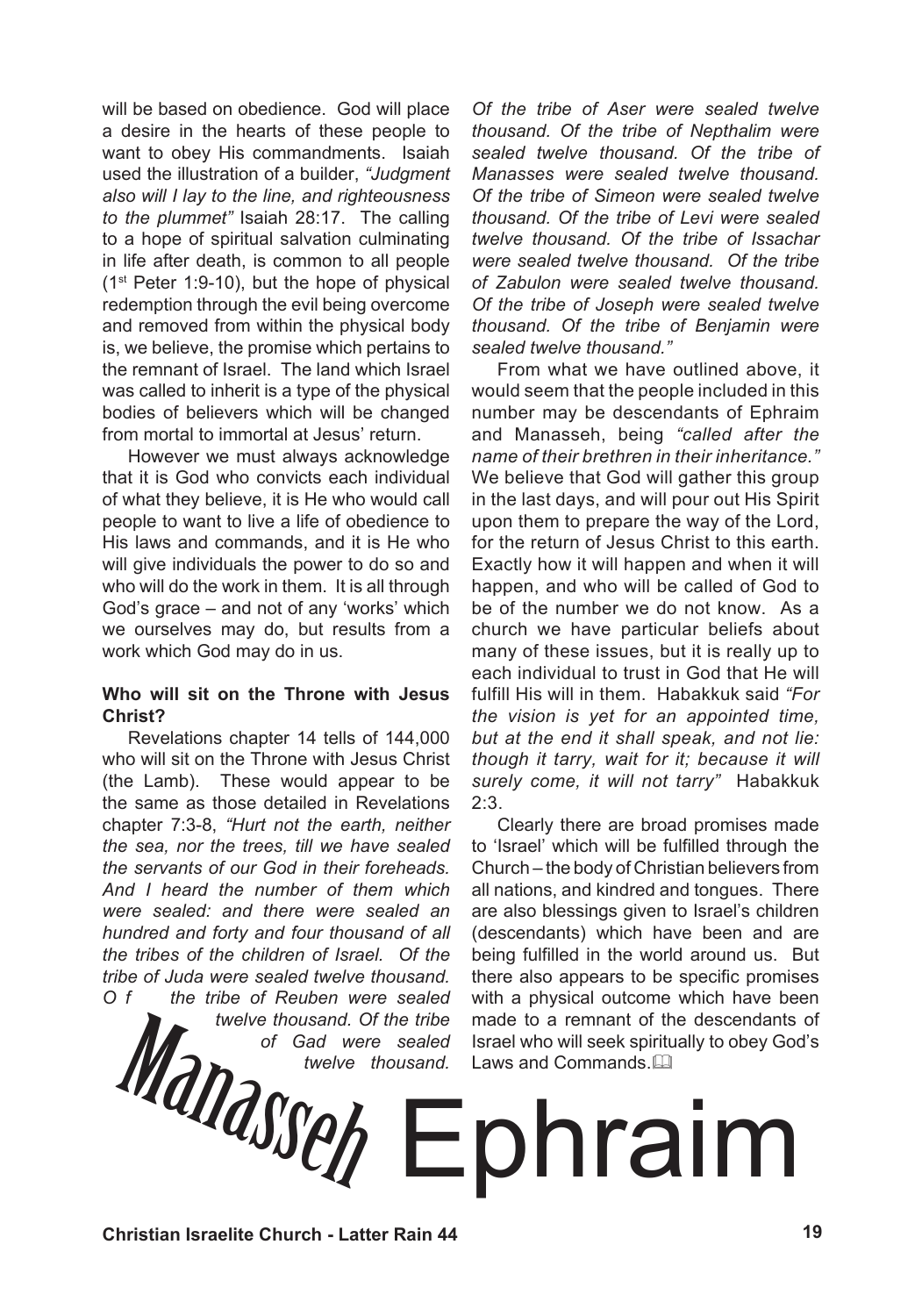will be based on obedience. God will place a desire in the hearts of these people to want to obey His commandments. Isaiah used the illustration of a builder, *"Judgment also will I lay to the line, and righteousness to the plummet"* Isaiah 28:17. The calling to a hope of spiritual salvation culminating in life after death, is common to all people (1st Peter 1:9-10), but the hope of physical redemption through the evil being overcome and removed from within the physical body is, we believe, the promise which pertains to the remnant of Israel. The land which Israel was called to inherit is a type of the physical bodies of believers which will be changed from mortal to immortal at Jesus' return.

However we must always acknowledge that it is God who convicts each individual of what they believe, it is He who would call people to want to live a life of obedience to His laws and commands, and it is He who will give individuals the power to do so and who will do the work in them. It is all through God's grace – and not of any 'works' which we ourselves may do, but results from a work which God may do in us.

## **Who will sit on the Throne with Jesus Christ?**

Revelations chapter 14 tells of 144,000 who will sit on the Throne with Jesus Christ (the Lamb). These would appear to be the same as those detailed in Revelations chapter 7:3-8, *"Hurt not the earth, neither the sea, nor the trees, till we have sealed the servants of our God in their foreheads. And I heard the number of them which were sealed: and there were sealed an hundred and forty and four thousand of all the tribes of the children of Israel. Of the tribe of Juda were sealed twelve thousand. O f the tribe of Reuben were sealed* 

*twelve thousand. Of the tribe of Gad were sealed twelve thousand.* 

*Of the tribe of Aser were sealed twelve thousand. Of the tribe of Nepthalim were sealed twelve thousand. Of the tribe of Manasses were sealed twelve thousand. Of the tribe of Simeon were sealed twelve thousand. Of the tribe of Levi were sealed twelve thousand. Of the tribe of Issachar were sealed twelve thousand. Of the tribe of Zabulon were sealed twelve thousand. Of the tribe of Joseph were sealed twelve thousand. Of the tribe of Benjamin were sealed twelve thousand."*

From what we have outlined above, it would seem that the people included in this number may be descendants of Ephraim and Manasseh, being *"called after the name of their brethren in their inheritance."*  We believe that God will gather this group in the last days, and will pour out His Spirit upon them to prepare the way of the Lord, for the return of Jesus Christ to this earth. Exactly how it will happen and when it will happen, and who will be called of God to be of the number we do not know. As a church we have particular beliefs about many of these issues, but it is really up to each individual to trust in God that He will fulfill His will in them. Habakkuk said *"For the vision is yet for an appointed time, but at the end it shall speak, and not lie: though it tarry, wait for it; because it will surely come, it will not tarry"* Habakkuk 2:3.

Clearly there are broad promises made to 'Israel' which will be fulfilled through the Church – the body of Christian believers from all nations, and kindred and tongues. There are also blessings given to Israel's children (descendants) which have been and are being fulfilled in the world around us. But there also appears to be specific promises with a physical outcome which have been made to a remnant of the descendants of Israel who will seek spiritually to obey God's Laws and Commands.

# Welve thousand. Of the tribe made to a remnant of the descendants<br>of Gad were sealed Israel who will seek spiritually to obey God<br>twelve thousand. Laws and Commands. Law<br>commands. Laws and Commands. Laws and Commands. Laws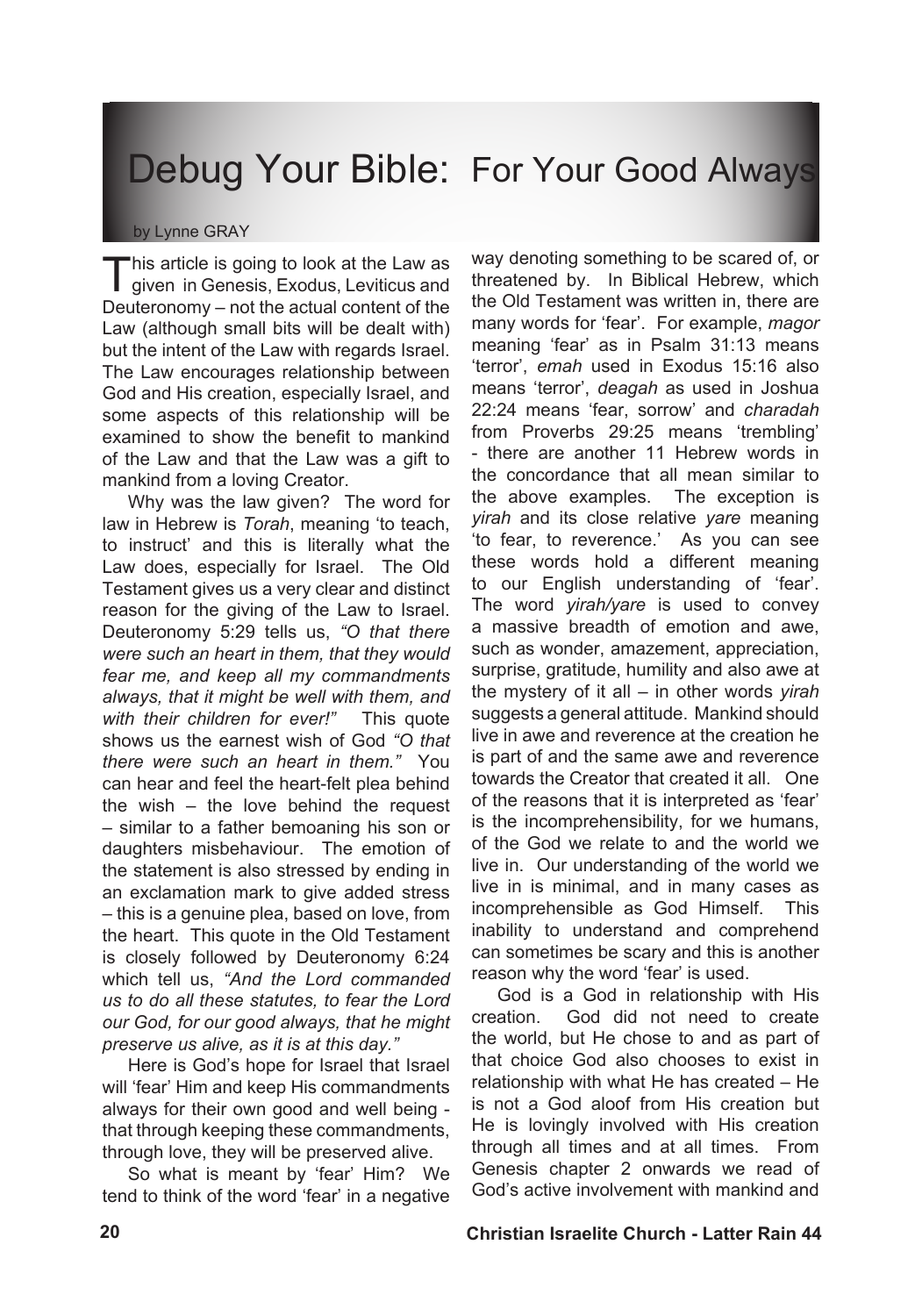## Debug Your Bible: For Your Good Always

#### by Lynne GRAY

This article is going to look at the Law as<br>given in Genesis, Exodus, Leviticus and Deuteronomy – not the actual content of the Law (although small bits will be dealt with) but the intent of the Law with regards Israel. The Law encourages relationship between God and His creation, especially Israel, and some aspects of this relationship will be examined to show the benefit to mankind of the Law and that the Law was a gift to mankind from a loving Creator.

Why was the law given? The word for law in Hebrew is *Torah*, meaning 'to teach, to instruct' and this is literally what the Law does, especially for Israel. The Old Testament gives us a very clear and distinct reason for the giving of the Law to Israel. Deuteronomy 5:29 tells us, *"O that there were such an heart in them, that they would fear me, and keep all my commandments always, that it might be well with them, and with their children for ever!"* This quote shows us the earnest wish of God *"O that there were such an heart in them."* You can hear and feel the heart-felt plea behind the wish – the love behind the request – similar to a father bemoaning his son or daughters misbehaviour. The emotion of the statement is also stressed by ending in an exclamation mark to give added stress – this is a genuine plea, based on love, from the heart. This quote in the Old Testament is closely followed by Deuteronomy 6:24 which tell us, *"And the Lord commanded us to do all these statutes, to fear the Lord our God, for our good always, that he might preserve us alive, as it is at this day."*

Here is God's hope for Israel that Israel will 'fear' Him and keep His commandments always for their own good and well being that through keeping these commandments, through love, they will be preserved alive.

So what is meant by 'fear' Him? We tend to think of the word 'fear' in a negative way denoting something to be scared of, or threatened by. In Biblical Hebrew, which the Old Testament was written in, there are many words for 'fear'. For example, *magor* meaning 'fear' as in Psalm 31:13 means 'terror', *emah* used in Exodus 15:16 also means 'terror', *deagah* as used in Joshua 22:24 means 'fear, sorrow' and *charadah* from Proverbs 29:25 means 'trembling' - there are another 11 Hebrew words in the concordance that all mean similar to the above examples. The exception is *yirah* and its close relative *yare* meaning 'to fear, to reverence.' As you can see these words hold a different meaning to our English understanding of 'fear'. The word *yirah/yare* is used to convey a massive breadth of emotion and awe, such as wonder, amazement, appreciation, surprise, gratitude, humility and also awe at the mystery of it all – in other words *yirah*  suggests a general attitude. Mankind should live in awe and reverence at the creation he is part of and the same awe and reverence towards the Creator that created it all. One of the reasons that it is interpreted as 'fear' is the incomprehensibility, for we humans, of the God we relate to and the world we live in. Our understanding of the world we live in is minimal, and in many cases as incomprehensible as God Himself. This inability to understand and comprehend can sometimes be scary and this is another reason why the word 'fear' is used.

God is a God in relationship with His creation. God did not need to create the world, but He chose to and as part of that choice God also chooses to exist in relationship with what He has created – He is not a God aloof from His creation but He is lovingly involved with His creation through all times and at all times. From Genesis chapter 2 onwards we read of God's active involvement with mankind and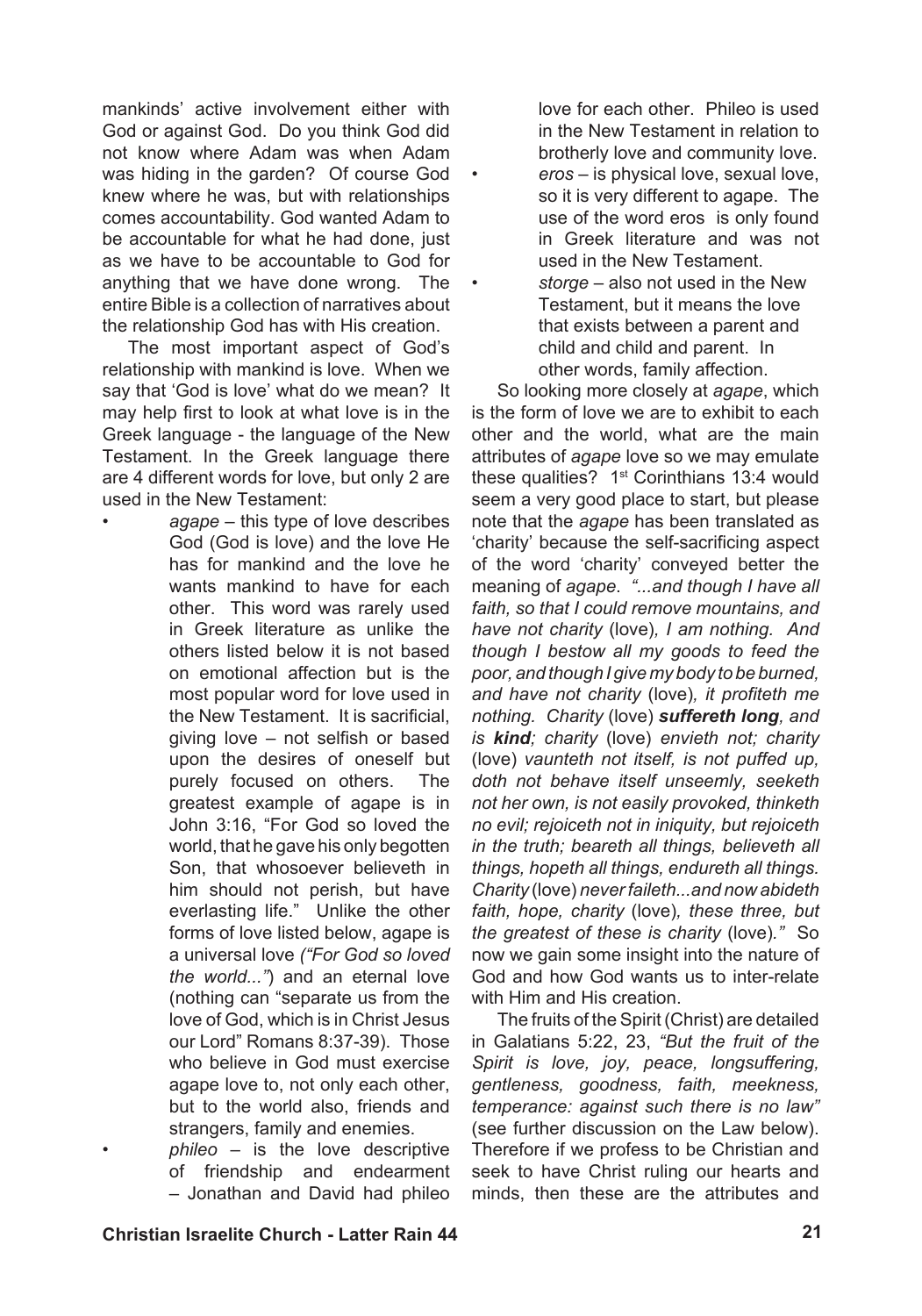mankinds' active involvement either with God or against God. Do you think God did not know where Adam was when Adam was hiding in the garden? Of course God knew where he was, but with relationships comes accountability. God wanted Adam to be accountable for what he had done, just as we have to be accountable to God for anything that we have done wrong. The entire Bible is a collection of narratives about the relationship God has with His creation.

•

•

The most important aspect of God's relationship with mankind is love. When we say that 'God is love' what do we mean? It may help first to look at what love is in the Greek language - the language of the New Testament. In the Greek language there are 4 different words for love, but only 2 are used in the New Testament:

*agape* – this type of love describes God (God is love) and the love He has for mankind and the love he wants mankind to have for each other. This word was rarely used in Greek literature as unlike the others listed below it is not based on emotional affection but is the most popular word for love used in the New Testament. It is sacrificial, giving love – not selfish or based upon the desires of oneself but purely focused on others. The greatest example of agape is in John 3:16, "For God so loved the world, that he gave his only begotten Son, that whosoever believeth in him should not perish, but have everlasting life." Unlike the other forms of love listed below, agape is a universal love *("For God so loved the world..."*) and an eternal love (nothing can "separate us from the love of God, which is in Christ Jesus our Lord" Romans 8:37-39). Those who believe in God must exercise agape love to, not only each other, but to the world also, friends and strangers, family and enemies. •

> *phileo* – is the love descriptive of friendship and endearment – Jonathan and David had phileo

love for each other. Phileo is used in the New Testament in relation to brotherly love and community love. *eros* – is physical love, sexual love, so it is very different to agape. The use of the word eros is only found in Greek literature and was not used in the New Testament.

*storge* – also not used in the New Testament, but it means the love that exists between a parent and child and child and parent. In other words, family affection.

So looking more closely at *agape*, which is the form of love we are to exhibit to each other and the world, what are the main attributes of *agape* love so we may emulate these qualities?  $1<sup>st</sup>$  Corinthians 13:4 would seem a very good place to start, but please note that the *agape* has been translated as 'charity' because the self-sacrificing aspect of the word 'charity' conveyed better the meaning of *agape*. *"...and though I have all faith, so that I could remove mountains, and have not charity* (love)*, I am nothing. And though I bestow all my goods to feed the poor, and though I give my body to be burned, and have not charity* (love)*, it profiteth me nothing. Charity* (love) *suffereth long, and is kind; charity* (love) *envieth not; charity* (love) *vaunteth not itself, is not puffed up, doth not behave itself unseemly, seeketh not her own, is not easily provoked, thinketh no evil; rejoiceth not in iniquity, but rejoiceth in the truth; beareth all things, believeth all things, hopeth all things, endureth all things. Charity* (love) *never faileth...and now abideth faith, hope, charity* (love)*, these three, but the greatest of these is charity* (love)*."* So now we gain some insight into the nature of God and how God wants us to inter-relate with Him and His creation.

The fruits of the Spirit (Christ) are detailed in Galatians 5:22, 23, *"But the fruit of the Spirit is love, joy, peace, longsuffering, gentleness, goodness, faith, meekness, temperance: against such there is no law"*  (see further discussion on the Law below). Therefore if we profess to be Christian and seek to have Christ ruling our hearts and minds, then these are the attributes and

•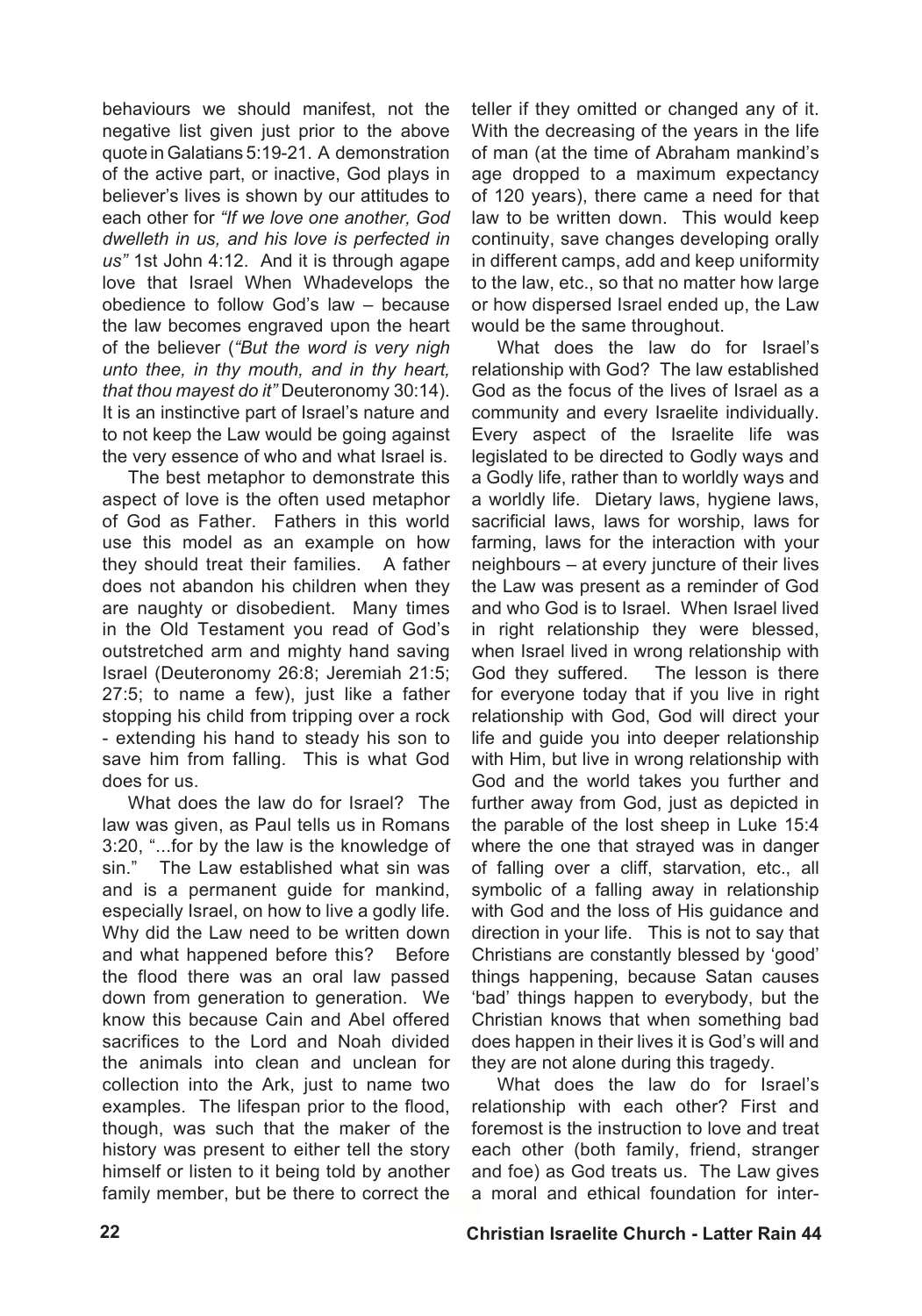behaviours we should manifest, not the negative list given just prior to the above quote inGalatians 5:19-21. A demonstration of the active part, or inactive, God plays in believer's lives is shown by our attitudes to each other for *"If we love one another, God dwelleth in us, and his love is perfected in us"* 1st John 4:12. And it is through agape love that Israel When Whadevelops the obedience to follow God's law – because the law becomes engraved upon the heart of the believer (*"But the word is very nigh unto thee, in thy mouth, and in thy heart, that thou mayest do it"* Deuteronomy 30:14). It is an instinctive part of Israel's nature and to not keep the Law would be going against the very essence of who and what Israel is.

The best metaphor to demonstrate this aspect of love is the often used metaphor of God as Father. Fathers in this world use this model as an example on how they should treat their families. A father does not abandon his children when they are naughty or disobedient. Many times in the Old Testament you read of God's outstretched arm and mighty hand saving Israel (Deuteronomy 26:8; Jeremiah 21:5; 27:5; to name a few), just like a father stopping his child from tripping over a rock - extending his hand to steady his son to save him from falling. This is what God does for us.

What does the law do for Israel? The law was given, as Paul tells us in Romans 3:20, "...for by the law is the knowledge of sin." The Law established what sin was and is a permanent guide for mankind, especially Israel, on how to live a godly life. Why did the Law need to be written down and what happened before this? Before the flood there was an oral law passed down from generation to generation. We know this because Cain and Abel offered sacrifices to the Lord and Noah divided the animals into clean and unclean for collection into the Ark, just to name two examples. The lifespan prior to the flood, though, was such that the maker of the history was present to either tell the story himself or listen to it being told by another family member, but be there to correct the

teller if they omitted or changed any of it. With the decreasing of the years in the life of man (at the time of Abraham mankind's age dropped to a maximum expectancy of 120 years), there came a need for that law to be written down. This would keep continuity, save changes developing orally in different camps, add and keep uniformity to the law, etc., so that no matter how large or how dispersed Israel ended up, the Law would be the same throughout.

What does the law do for Israel's relationship with God? The law established God as the focus of the lives of Israel as a community and every Israelite individually. Every aspect of the Israelite life was legislated to be directed to Godly ways and a Godly life, rather than to worldly ways and a worldly life. Dietary laws, hygiene laws, sacrificial laws, laws for worship, laws for farming, laws for the interaction with your neighbours – at every juncture of their lives the Law was present as a reminder of God and who God is to Israel. When Israel lived in right relationship they were blessed, when Israel lived in wrong relationship with God they suffered. The lesson is there for everyone today that if you live in right relationship with God, God will direct your life and guide you into deeper relationship with Him, but live in wrong relationship with God and the world takes you further and further away from God, just as depicted in the parable of the lost sheep in Luke 15:4 where the one that strayed was in danger of falling over a cliff, starvation, etc., all symbolic of a falling away in relationship with God and the loss of His guidance and direction in your life. This is not to say that Christians are constantly blessed by 'good' things happening, because Satan causes 'bad' things happen to everybody, but the Christian knows that when something bad does happen in their lives it is God's will and they are not alone during this tragedy.

What does the law do for Israel's relationship with each other? First and foremost is the instruction to love and treat each other (both family, friend, stranger and foe) as God treats us. The Law gives a moral and ethical foundation for inter-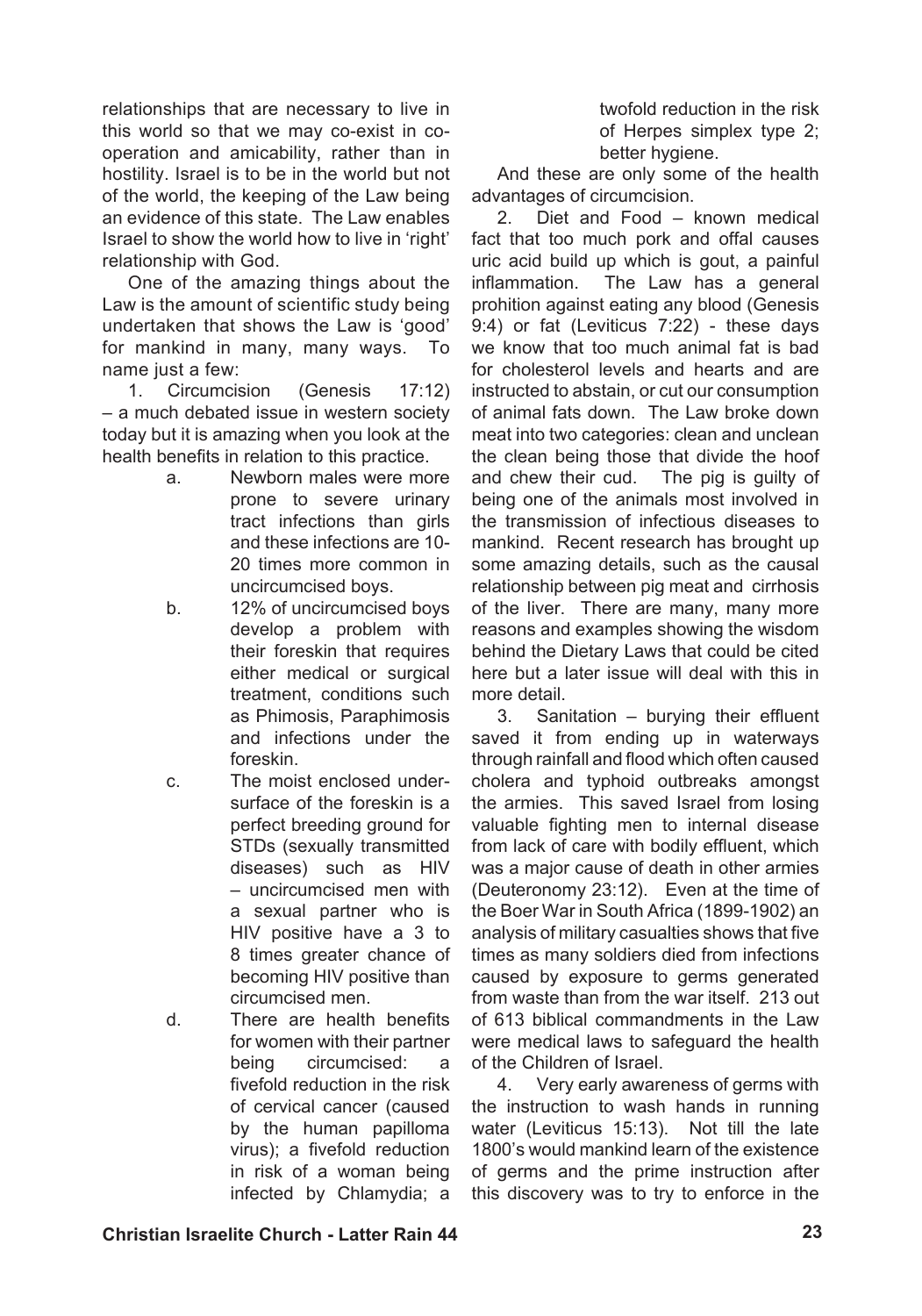relationships that are necessary to live in this world so that we may co-exist in cooperation and amicability, rather than in hostility. Israel is to be in the world but not of the world, the keeping of the Law being an evidence of this state. The Law enables Israel to show the world how to live in 'right' relationship with God.

One of the amazing things about the Law is the amount of scientific study being undertaken that shows the Law is 'good' for mankind in many, many ways. To name just a few:

1. Circumcision (Genesis 17:12) – a much debated issue in western society today but it is amazing when you look at the health benefits in relation to this practice.

- a. Newborn males were more prone to severe urinary tract infections than girls and these infections are 10- 20 times more common in uncircumcised boys.
- b. 12% of uncircumcised boys develop a problem with their foreskin that requires either medical or surgical treatment, conditions such as Phimosis, Paraphimosis and infections under the foreskin.
- c. The moist enclosed undersurface of the foreskin is a perfect breeding ground for STDs (sexually transmitted diseases) such as HIV – uncircumcised men with a sexual partner who is HIV positive have a 3 to 8 times greater chance of becoming HIV positive than circumcised men.
- d. There are health benefits for women with their partner being circumcised: a fivefold reduction in the risk of cervical cancer (caused by the human papilloma virus); a fivefold reduction in risk of a woman being infected by Chlamydia; a

twofold reduction in the risk of Herpes simplex type 2; better hygiene.

And these are only some of the health advantages of circumcision.

2. Diet and Food – known medical fact that too much pork and offal causes uric acid build up which is gout, a painful inflammation. The Law has a general prohition against eating any blood (Genesis 9:4) or fat (Leviticus 7:22) - these days we know that too much animal fat is bad for cholesterol levels and hearts and are instructed to abstain, or cut our consumption of animal fats down. The Law broke down meat into two categories: clean and unclean the clean being those that divide the hoof and chew their cud. The pig is guilty of being one of the animals most involved in the transmission of infectious diseases to mankind. Recent research has brought up some amazing details, such as the causal relationship between pig meat and cirrhosis of the liver. There are many, many more reasons and examples showing the wisdom behind the Dietary Laws that could be cited here but a later issue will deal with this in more detail.

3. Sanitation – burying their effluent saved it from ending up in waterways through rainfall and flood which often caused cholera and typhoid outbreaks amongst the armies. This saved Israel from losing valuable fighting men to internal disease from lack of care with bodily effluent, which was a major cause of death in other armies (Deuteronomy 23:12). Even at the time of the Boer War in South Africa (1899-1902) an analysis of military casualties shows that five times as many soldiers died from infections caused by exposure to germs generated from waste than from the war itself. 213 out of 613 biblical commandments in the Law were medical laws to safeguard the health of the Children of Israel.

4. Very early awareness of germs with the instruction to wash hands in running water (Leviticus 15:13). Not till the late 1800's would mankind learn of the existence of germs and the prime instruction after this discovery was to try to enforce in the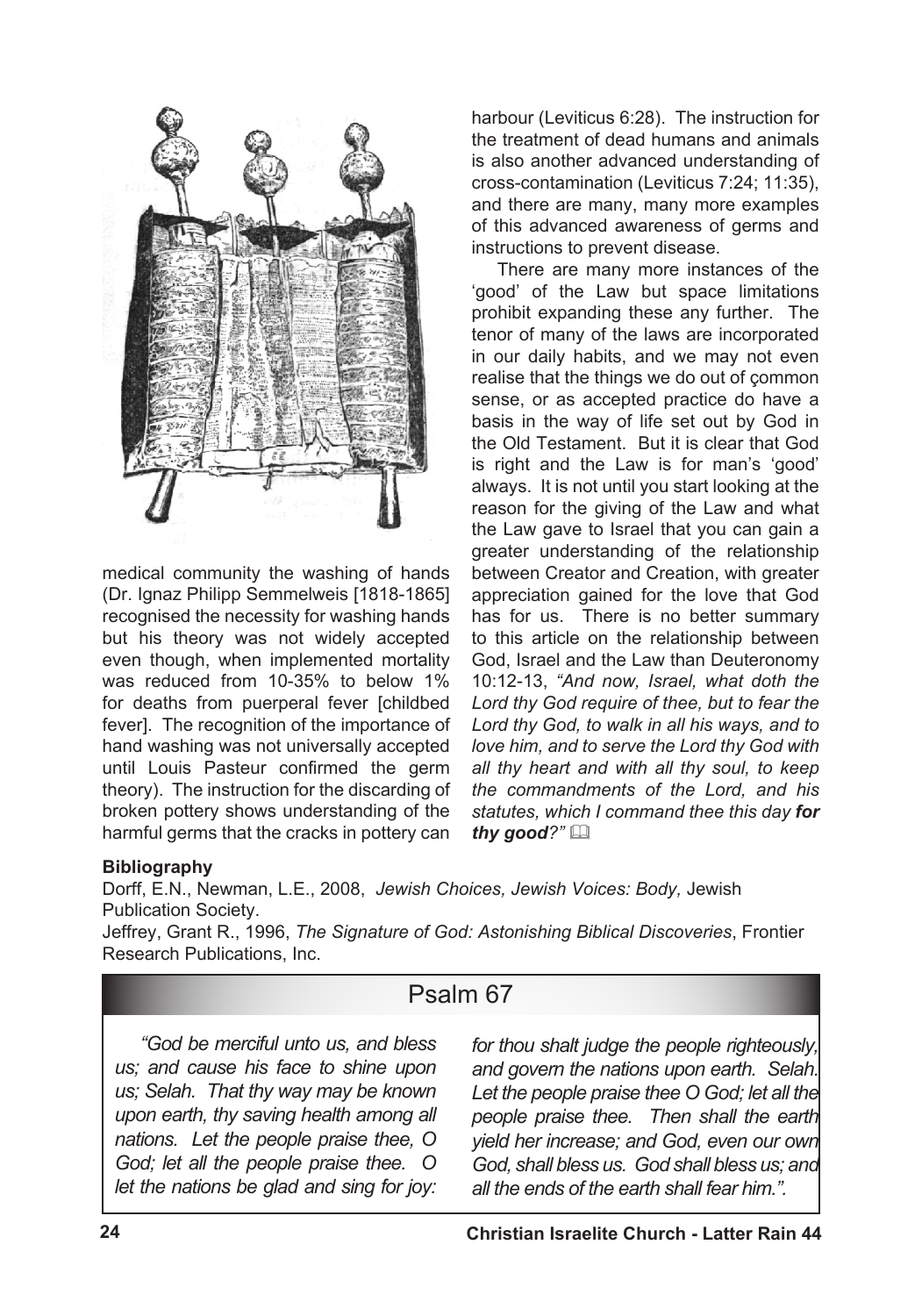

medical community the washing of hands (Dr. Ignaz Philipp Semmelweis [1818-1865] recognised the necessity for washing hands but his theory was not widely accepted even though, when implemented mortality was reduced from 10-35% to below 1% for deaths from puerperal fever [childbed fever]. The recognition of the importance of hand washing was not universally accepted until Louis Pasteur confirmed the germ theory). The instruction for the discarding of broken pottery shows understanding of the harmful germs that the cracks in pottery can harbour (Leviticus 6:28). The instruction for the treatment of dead humans and animals is also another advanced understanding of cross-contamination (Leviticus 7:24; 11:35), and there are many, many more examples of this advanced awareness of germs and instructions to prevent disease.

There are many more instances of the 'good' of the Law but space limitations prohibit expanding these any further. The tenor of many of the laws are incorporated in our daily habits, and we may not even realise that the things we do out of çommon sense, or as accepted practice do have a basis in the way of life set out by God in the Old Testament. But it is clear that God is right and the Law is for man's 'good' always. It is not until you start looking at the reason for the giving of the Law and what the Law gave to Israel that you can gain a greater understanding of the relationship between Creator and Creation, with greater appreciation gained for the love that God has for us. There is no better summary to this article on the relationship between God, Israel and the Law than Deuteronomy 10:12-13, *"And now, Israel, what doth the Lord thy God require of thee, but to fear the Lord thy God, to walk in all his ways, and to love him, and to serve the Lord thy God with all thy heart and with all thy soul, to keep the commandments of the Lord, and his statutes, which I command thee this day for thy good?"* &

## **Bibliography**

Dorff, E.N., Newman, L.E., 2008, *Jewish Choices, Jewish Voices: Body,* Jewish Publication Society.

Jeffrey, Grant R., 1996, *The Signature of God: Astonishing Biblical Discoveries*, Frontier Research Publications, Inc.

## Psalm 67

*"God be merciful unto us, and bless us; and cause his face to shine upon us; Selah. That thy way may be known upon earth, thy saving health among all nations. Let the people praise thee, O God; let all the people praise thee. O let the nations be glad and sing for joy:*  *for thou shalt judge the people righteously, and govern the nations upon earth. Selah. Let the people praise thee O God; let all the people praise thee. Then shall the earth yield her increase; and God, even our own God, shall bless us. God shall bless us; and all the ends of the earth shall fear him.".*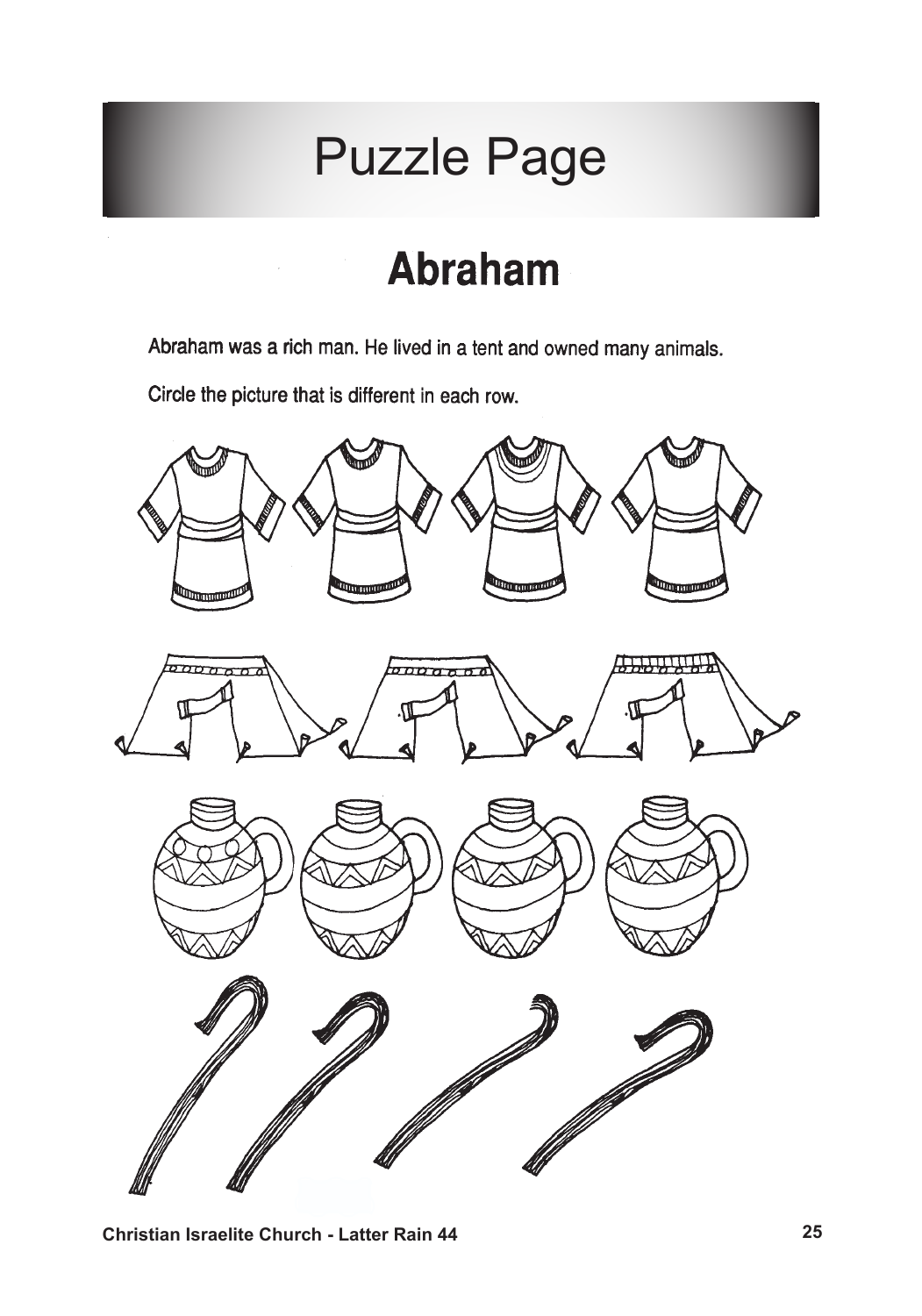# Puzzle Page

# **Abraham**

Abraham was a rich man. He lived in a tent and owned many animals.

Circle the picture that is different in each row.

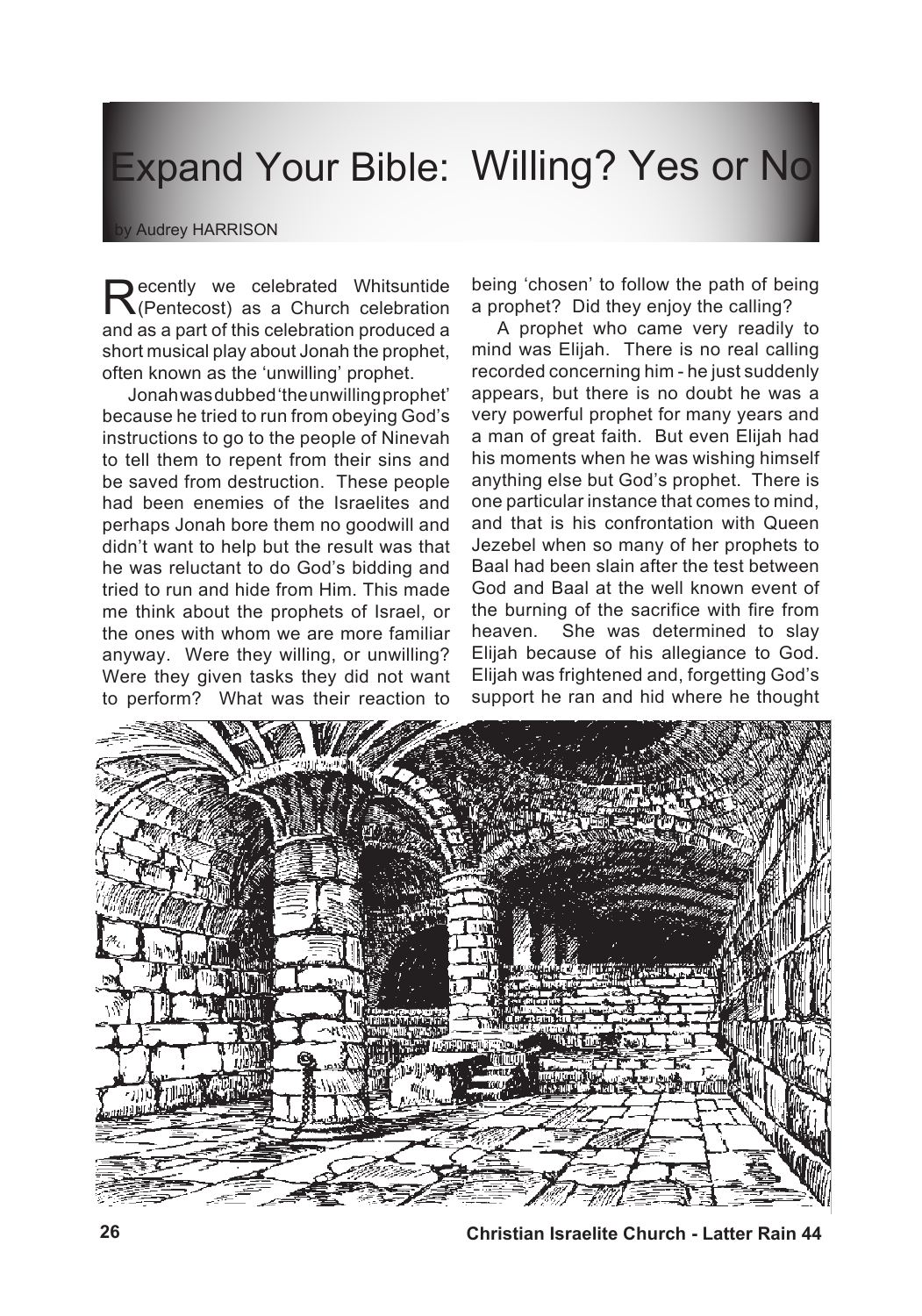# Expand Your Bible: Willing? Yes or No

#### by Audrey HARRISON

**Recently we celebrated Whitsuntide**<br>
(Pentecost) as a Church celebration and as a part of this celebration produced a short musical play about Jonah the prophet, often known as the 'unwilling' prophet.

Jonahwasdubbed'theunwillingprophet' because he tried to run from obeying God's instructions to go to the people of Ninevah to tell them to repent from their sins and be saved from destruction. These people had been enemies of the Israelites and perhaps Jonah bore them no goodwill and didn't want to help but the result was that he was reluctant to do God's bidding and tried to run and hide from Him. This made me think about the prophets of Israel, or the ones with whom we are more familiar anyway. Were they willing, or unwilling? Were they given tasks they did not want to perform? What was their reaction to

being 'chosen' to follow the path of being a prophet? Did they enjoy the calling?

A prophet who came very readily to mind was Elijah. There is no real calling recorded concerning him - he just suddenly appears, but there is no doubt he was a very powerful prophet for many years and a man of great faith. But even Elijah had his moments when he was wishing himself anything else but God's prophet. There is one particular instance that comes to mind, and that is his confrontation with Queen Jezebel when so many of her prophets to Baal had been slain after the test between God and Baal at the well known event of the burning of the sacrifice with fire from heaven. She was determined to slay Elijah because of his allegiance to God. Elijah was frightened and, forgetting God's support he ran and hid where he thought



**26 Christian Israelite Church - Latter Rain 44**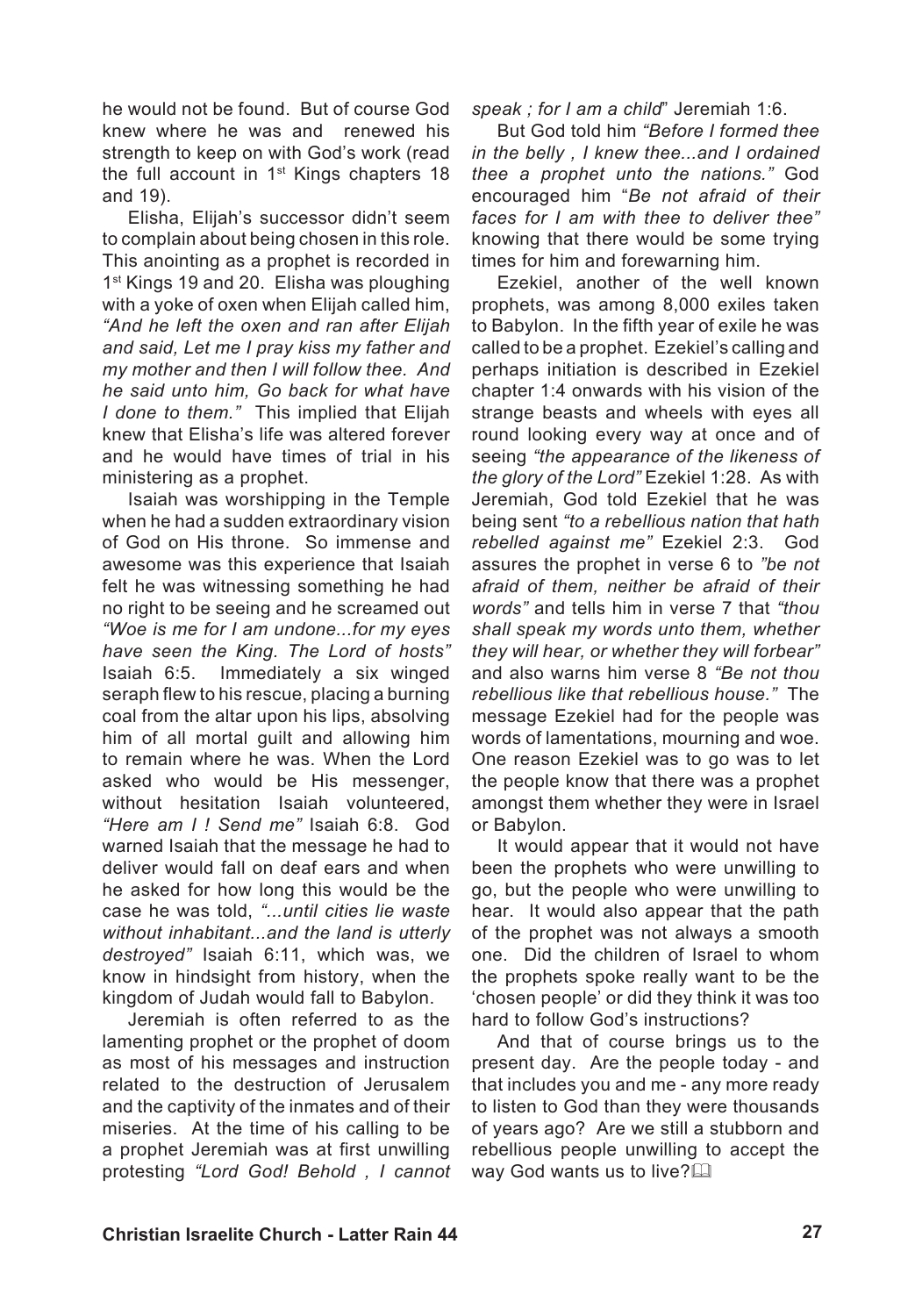he would not be found. But of course God knew where he was and renewed his strength to keep on with God's work (read the full account in 1<sup>st</sup> Kings chapters 18 and 19).

Elisha, Elijah's successor didn't seem to complain about being chosen in this role. This anointing as a prophet is recorded in 1<sup>st</sup> Kings 19 and 20. Elisha was ploughing with a voke of oxen when Elijah called him. *"And he left the oxen and ran after Elijah and said, Let me I pray kiss my father and my mother and then I will follow thee. And he said unto him, Go back for what have I done to them."* This implied that Elijah knew that Elisha's life was altered forever and he would have times of trial in his ministering as a prophet.

Isaiah was worshipping in the Temple when he had a sudden extraordinary vision of God on His throne. So immense and awesome was this experience that Isaiah felt he was witnessing something he had no right to be seeing and he screamed out *"Woe is me for I am undone...for my eyes have seen the King. The Lord of hosts"*  Isaiah 6:5. Immediately a six winged seraph flew to his rescue, placing a burning coal from the altar upon his lips, absolving him of all mortal guilt and allowing him to remain where he was. When the Lord asked who would be His messenger, without hesitation Isaiah volunteered, *"Here am I ! Send me"* Isaiah 6:8. God warned Isaiah that the message he had to deliver would fall on deaf ears and when he asked for how long this would be the case he was told, *"...until cities lie waste without inhabitant...and the land is utterly destroyed"* Isaiah 6:11, which was, we know in hindsight from history, when the kingdom of Judah would fall to Babylon.

Jeremiah is often referred to as the lamenting prophet or the prophet of doom as most of his messages and instruction related to the destruction of Jerusalem and the captivity of the inmates and of their miseries. At the time of his calling to be a prophet Jeremiah was at first unwilling protesting *"Lord God! Behold , I cannot* 

*speak ; for I am a child*" Jeremiah 1:6.

But God told him *"Before I formed thee in the belly , I knew thee...and I ordained thee a prophet unto the nations."* God encouraged him "*Be not afraid of their faces for I am with thee to deliver thee"* knowing that there would be some trying times for him and forewarning him.

Ezekiel, another of the well known prophets, was among 8,000 exiles taken to Babylon. In the fifth year of exile he was called to be a prophet. Ezekiel's calling and perhaps initiation is described in Ezekiel chapter 1:4 onwards with his vision of the strange beasts and wheels with eyes all round looking every way at once and of seeing *"the appearance of the likeness of the glory of the Lord"* Ezekiel 1:28. As with Jeremiah, God told Ezekiel that he was being sent *"to a rebellious nation that hath rebelled against me"* Ezekiel 2:3. God assures the prophet in verse 6 to *"be not afraid of them, neither be afraid of their words"* and tells him in verse 7 that *"thou shall speak my words unto them, whether they will hear, or whether they will forbear"* and also warns him verse 8 *"Be not thou rebellious like that rebellious house."* The message Ezekiel had for the people was words of lamentations, mourning and woe. One reason Ezekiel was to go was to let the people know that there was a prophet amongst them whether they were in Israel or Babylon.

It would appear that it would not have been the prophets who were unwilling to go, but the people who were unwilling to hear. It would also appear that the path of the prophet was not always a smooth one. Did the children of Israel to whom the prophets spoke really want to be the 'chosen people' or did they think it was too hard to follow God's instructions?

And that of course brings us to the present day. Are the people today - and that includes you and me - any more ready to listen to God than they were thousands of years ago? Are we still a stubborn and rebellious people unwilling to accept the way God wants us to live? $\Box$